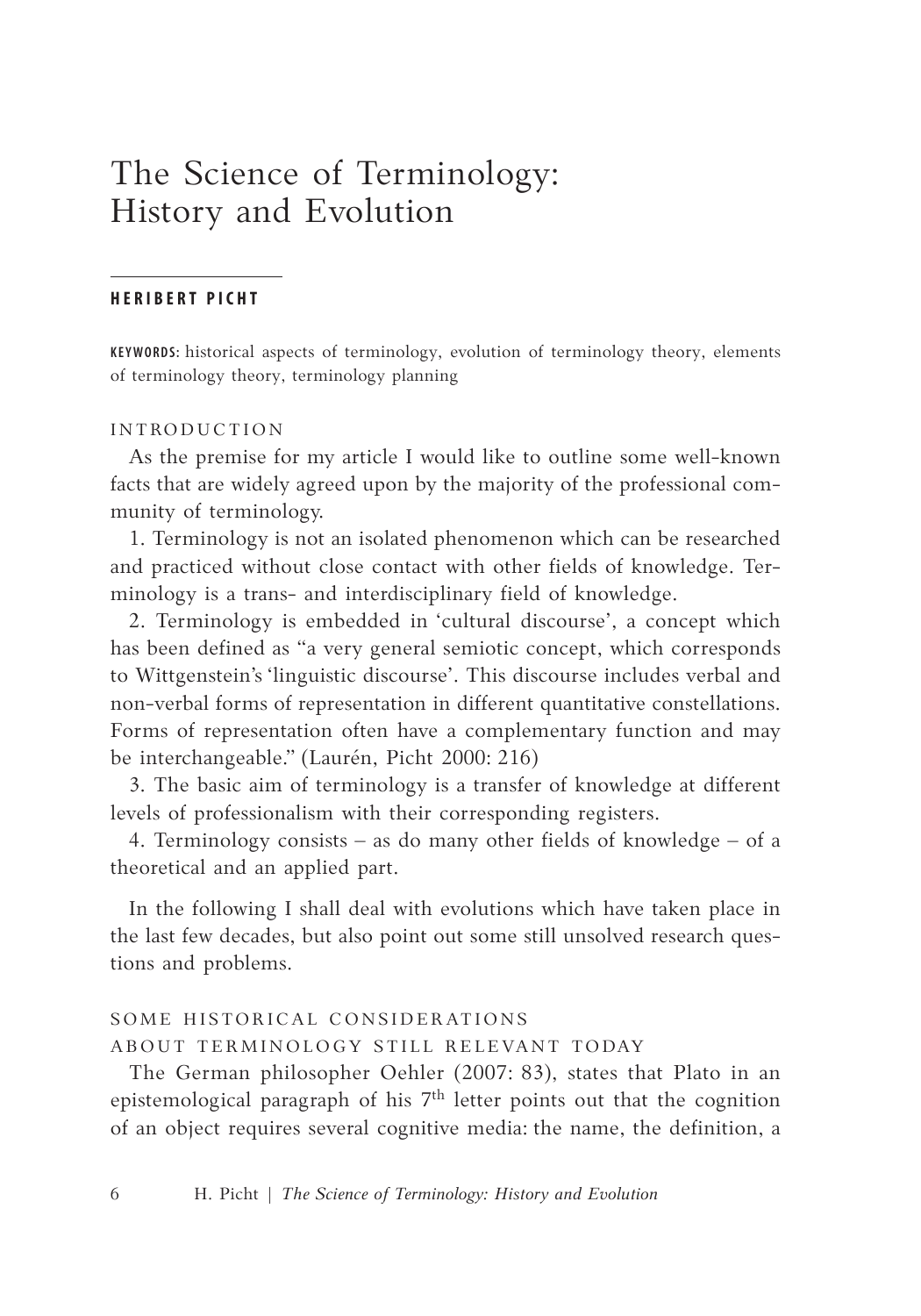# The Science of Terminology: History and Evolution

### **H E R I B E R T P I C H T**

KEYWORDS: historical aspects of terminology, evolution of terminology theory, elements of terminology theory, terminology planning

### IN TRODUCTION

As the premise for my article I would like to outline some well-known facts that are widely agreed upon by the majority of the professional community of terminology.

1. Terminology is not an isolated phenomenon which can be researched and practiced without close contact with other fields of knowledge. Terminology is a trans- and interdisciplinary field of knowledge.

2. Terminology is embedded in 'cultural discourse', a concept which has been defined as "a very general semiotic concept, which corresponds to Wittgenstein's 'linguistic discourse'. This discourse includes verbal and non-verbal forms of representation in different quantitative constellations. Forms of representation often have a complementary function and may be interchangeable." (Laurén, Picht 2000: 216)

3. The basic aim of terminology is a transfer of knowledge at different levels of professionalism with their corresponding registers.

4. Terminology consists – as do many other fields of knowledge – of a theoretical and an applied part.

In the following I shall deal with evolutions which have taken place in the last few decades, but also point out some still unsolved research questions and problems.

# SOME HISTORICAL CONSIDERATIONS ABOUT TERMINOLOGY STILL RELEVANT TODAY

The German philosopher Oehler (2007: 83), states that Plato in an epistemological paragraph of his  $7<sup>th</sup>$  letter points out that the cognition of an object requires several cognitive media: the name, the definition, a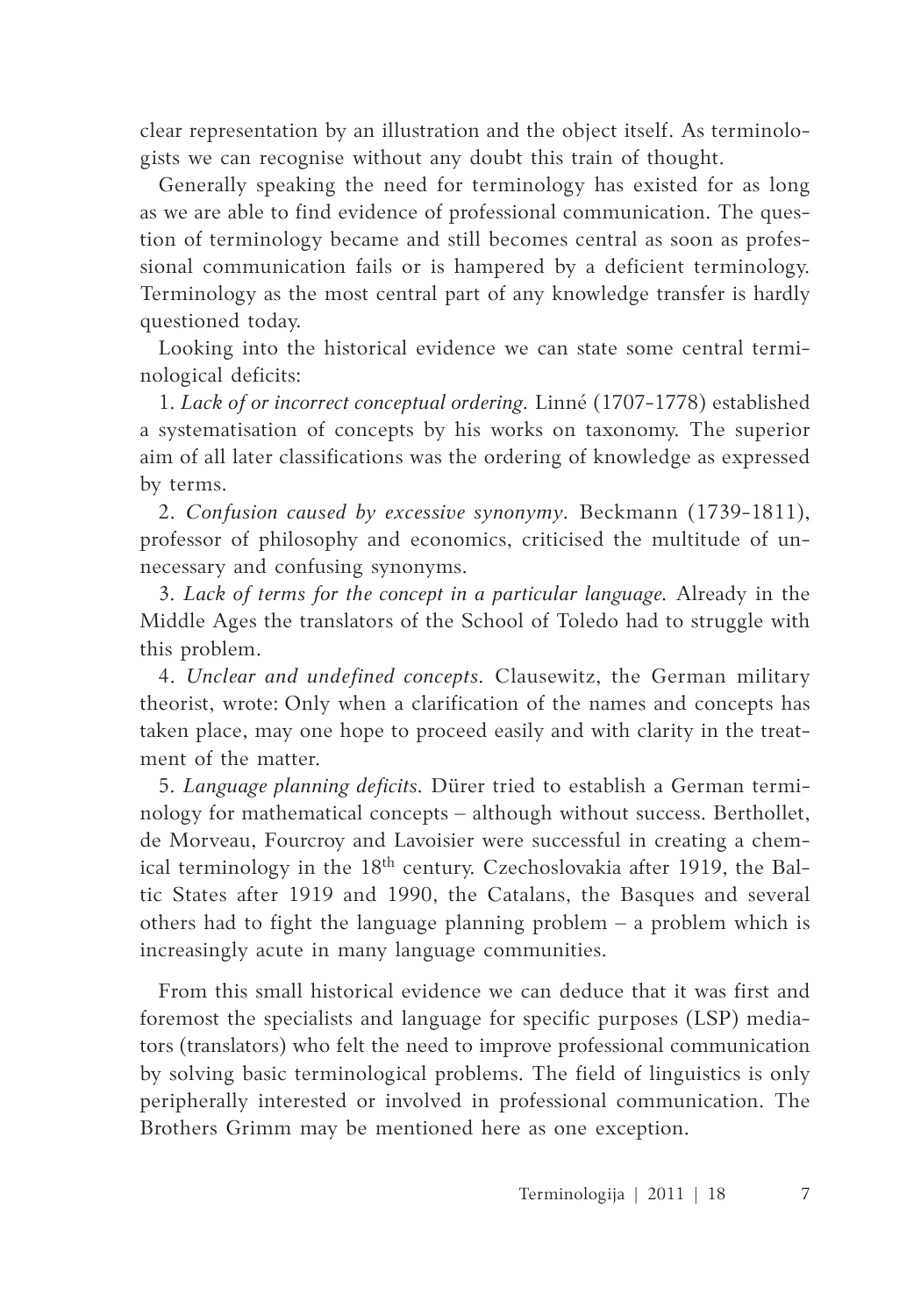clear representation by an illustration and the object itself. As terminologists we can recognise without any doubt this train of thought.

Generally speaking the need for terminology has existed for as long as we are able to find evidence of professional communication. The question of terminology became and still becomes central as soon as professional communication fails or is hampered by a deficient terminology. Terminology as the most central part of any knowledge transfer is hardly questioned today.

Looking into the historical evidence we can state some central terminological deficits:

1. *Lack of or incorrect conceptual ordering.* Linné (1707-1778) established a systematisation of concepts by his works on taxonomy. The superior aim of all later classifications was the ordering of knowledge as expressed by terms.

2. *Confusion caused by excessive synonymy.* Beckmann (1739-1811), professor of philosophy and economics, criticised the multitude of unnecessary and confusing synonyms.

3. *Lack of terms for the concept in a particular language.* Already in the Middle Ages the translators of the School of Toledo had to struggle with this problem.

4. *Unclear and undefined concepts.* Clausewitz, the German military theorist, wrote: Only when a clarification of the names and concepts has taken place, may one hope to proceed easily and with clarity in the treatment of the matter.

5. *Language planning deficits.* Dürer tried to establish a German terminology for mathematical concepts – although without success. Berthollet, de Morveau, Fourcroy and Lavoisier were successful in creating a chemical terminology in the 18<sup>th</sup> century. Czechoslovakia after 1919, the Baltic States after 1919 and 1990, the Catalans, the Basques and several others had to fight the language planning problem – a problem which is increasingly acute in many language communities.

From this small historical evidence we can deduce that it was first and foremost the specialists and language for specific purposes (LSP) mediators (translators) who felt the need to improve professional communication by solving basic terminological problems. The field of linguistics is only peripherally interested or involved in professional communication. The Brothers Grimm may be mentioned here as one exception.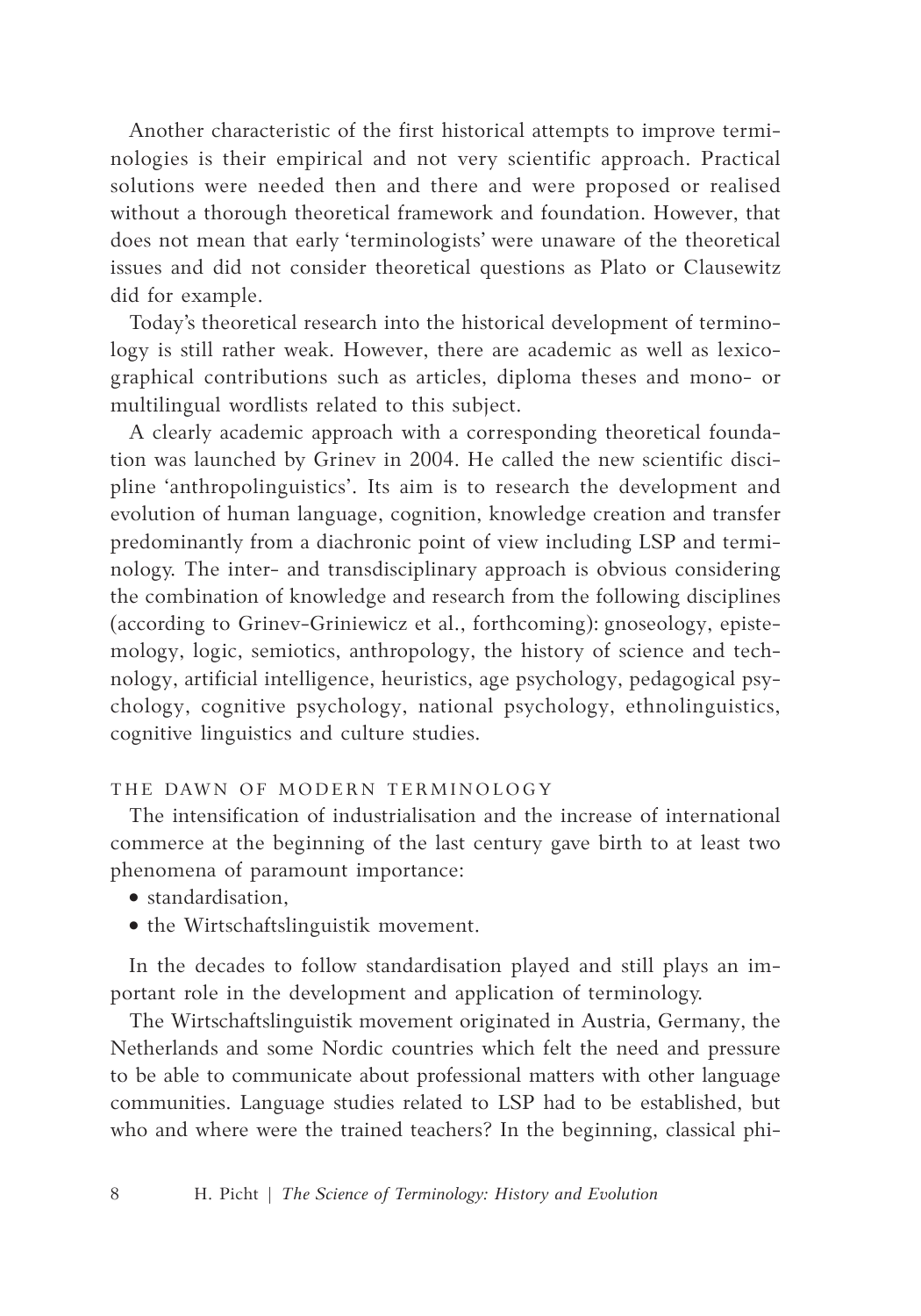Another characteristic of the first historical attempts to improve terminologies is their empirical and not very scientific approach. Practical solutions were needed then and there and were proposed or realised without a thorough theoretical framework and foundation. However, that does not mean that early 'terminologists' were unaware of the theoretical issues and did not consider theoretical questions as Plato or Clausewitz did for example.

Today's theoretical research into the historical development of terminology is still rather weak. However, there are academic as well as lexicographical contributions such as articles, diploma theses and mono- or multilingual wordlists related to this subject.

A clearly academic approach with a corresponding theoretical foundation was launched by Grinev in 2004. He called the new scientific discipline 'anthropolinguistics'. Its aim is to research the development and evolution of human language, cognition, knowledge creation and transfer predominantly from a diachronic point of view including LSP and terminology. The inter- and transdisciplinary approach is obvious considering the combination of knowledge and research from the following disciplines (according to Grinev-Griniewicz et al., forthcoming): gnoseology, epistemology, logic, semiotics, anthropology, the history of science and technology, artificial intelligence, heuristics, age psychology, pedagogical psychology, cognitive psychology, national psychology, ethnolinguistics, cognitive linguistics and culture studies.

# THE DAWN OF MODERN TERMINOLOGY

The intensification of industrialisation and the increase of international commerce at the beginning of the last century gave birth to at least two phenomena of paramount importance:

- • standardisation,
- • the Wirtschaftslinguistik movement.

In the decades to follow standardisation played and still plays an important role in the development and application of terminology.

The Wirtschaftslinguistik movement originated in Austria, Germany, the Netherlands and some Nordic countries which felt the need and pressure to be able to communicate about professional matters with other language communities. Language studies related to LSP had to be established, but who and where were the trained teachers? In the beginning, classical phi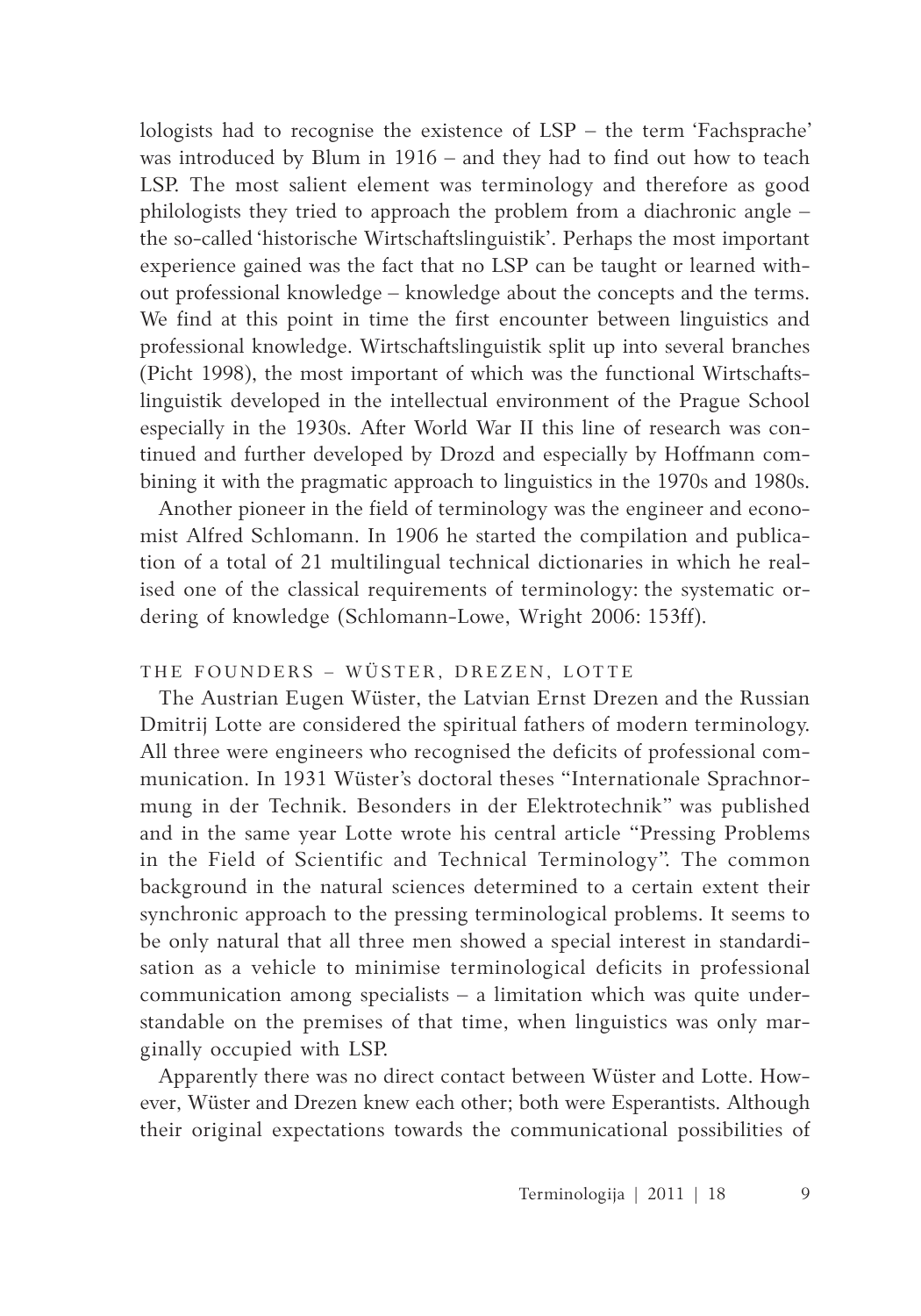lologists had to recognise the existence of LSP – the term 'Fachsprache' was introduced by Blum in 1916 – and they had to find out how to teach LSP. The most salient element was terminology and therefore as good philologists they tried to approach the problem from a diachronic angle – the so-called 'historische Wirtschaftslinguistik'. Perhaps the most important experience gained was the fact that no LSP can be taught or learned without professional knowledge – knowledge about the concepts and the terms. We find at this point in time the first encounter between linguistics and professional knowledge. Wirtschaftslinguistik split up into several branches (Picht 1998), the most important of which was the functional Wirtschaftslinguistik developed in the intellectual environment of the Prague School especially in the 1930s. After World War II this line of research was continued and further developed by Drozd and especially by Hoffmann combining it with the pragmatic approach to linguistics in the 1970s and 1980s.

Another pioneer in the field of terminology was the engineer and economist Alfred Schlomann. In 1906 he started the compilation and publication of a total of 21 multilingual technical dictionaries in which he realised one of the classical requirements of terminology: the systematic ordering of knowledge (Schlomann-Lowe, Wright 2006: 153ff).

# THE FOUNDERS - WÜSTER, DREZEN, LOTTE

The Austrian Eugen Wüster, the Latvian Ernst Drezen and the Russian Dmitrij Lotte are considered the spiritual fathers of modern terminology. All three were engineers who recognised the deficits of professional communication. In 1931 Wüster's doctoral theses "Internationale Sprachnormung in der Technik. Besonders in der Elektrotechnik" was published and in the same year Lotte wrote his central article "Pressing Problems in the Field of Scientific and Technical Terminology". The common background in the natural sciences determined to a certain extent their synchronic approach to the pressing terminological problems. It seems to be only natural that all three men showed a special interest in standardisation as a vehicle to minimise terminological deficits in professional communication among specialists – a limitation which was quite understandable on the premises of that time, when linguistics was only marginally occupied with LSP.

Apparently there was no direct contact between Wüster and Lotte. However, Wüster and Drezen knew each other; both were Esperantists. Although their original expectations towards the communicational possibilities of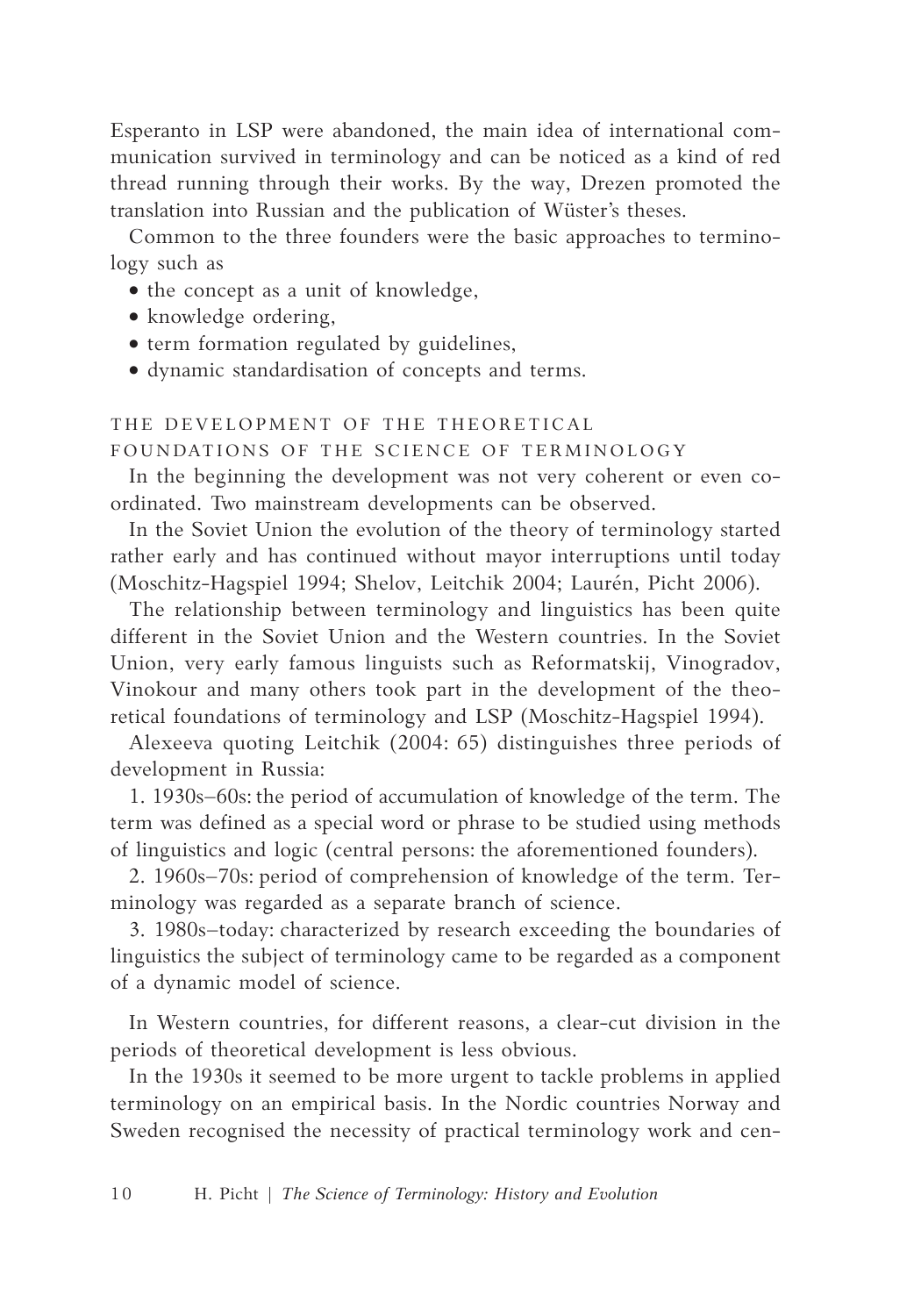Esperanto in LSP were abandoned, the main idea of international communication survived in terminology and can be noticed as a kind of red thread running through their works. By the way, Drezen promoted the translation into Russian and the publication of Wüster's theses.

Common to the three founders were the basic approaches to terminology such as

- the concept as a unit of knowledge,
- knowledge ordering,
- term formation regulated by guidelines,
- • dynamic standardisation of concepts and terms.

# THE DEVELOPMENT OF THE THEORETICAL

# FOUNDATIONS OF THE SCIENCE OF TERMINOLOGY

In the beginning the development was not very coherent or even coordinated. Two mainstream developments can be observed.

In the Soviet Union the evolution of the theory of terminology started rather early and has continued without mayor interruptions until today (Moschitz-Hagspiel 1994; Shelov, Leitchik 2004; Laurén, Picht 2006).

The relationship between terminology and linguistics has been quite different in the Soviet Union and the Western countries. In the Soviet Union, very early famous linguists such as Reformatskij, Vinogradov, Vinokour and many others took part in the development of the theoretical foundations of terminology and LSP (Moschitz-Hagspiel 1994).

Alexeeva quoting Leitchik (2004: 65) distinguishes three periods of development in Russia:

1. 1930s–60s: the period of accumulation of knowledge of the term. The term was defined as a special word or phrase to be studied using methods of linguistics and logic (central persons: the aforementioned founders).

2. 1960s–70s: period of comprehension of knowledge of the term. Terminology was regarded as a separate branch of science.

3. 1980s–today: characterized by research exceeding the boundaries of linguistics the subject of terminology came to be regarded as a component of a dynamic model of science.

In Western countries, for different reasons, a clear-cut division in the periods of theoretical development is less obvious.

In the 1930s it seemed to be more urgent to tackle problems in applied terminology on an empirical basis. In the Nordic countries Norway and Sweden recognised the necessity of practical terminology work and cen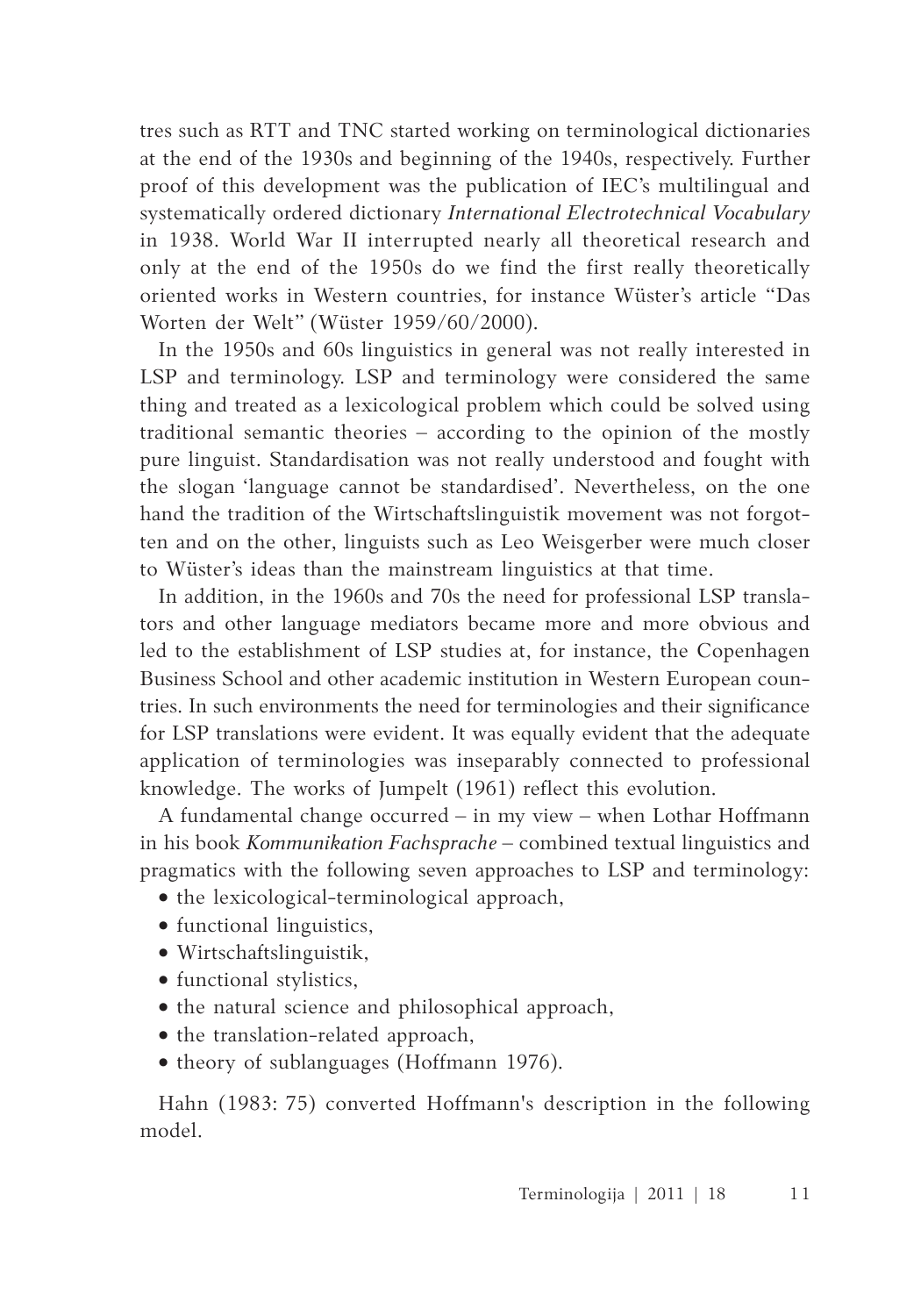tres such as RTT and TNC started working on terminological dictionaries at the end of the 1930s and beginning of the 1940s, respectively. Further proof of this development was the publication of IEC's multilingual and systematically ordered dictionary *International Electrotechnical Vocabulary* in 1938. World War II interrupted nearly all theoretical research and only at the end of the 1950s do we find the first really theoretically oriented works in Western countries, for instance Wüster's article "Das Worten der Welt" (Wüster 1959/60/2000).

In the 1950s and 60s linguistics in general was not really interested in LSP and terminology. LSP and terminology were considered the same thing and treated as a lexicological problem which could be solved using traditional semantic theories – according to the opinion of the mostly pure linguist. Standardisation was not really understood and fought with the slogan 'language cannot be standardised'. Nevertheless, on the one hand the tradition of the Wirtschaftslinguistik movement was not forgotten and on the other, linguists such as Leo Weisgerber were much closer to Wüster's ideas than the mainstream linguistics at that time.

In addition, in the 1960s and 70s the need for professional LSP translators and other language mediators became more and more obvious and led to the establishment of LSP studies at, for instance, the Copenhagen Business School and other academic institution in Western European countries. In such environments the need for terminologies and their significance for LSP translations were evident. It was equally evident that the adequate application of terminologies was inseparably connected to professional knowledge. The works of Jumpelt (1961) reflect this evolution.

A fundamental change occurred – in my view – when Lothar Hoffmann in his book *Kommunikation Fachsprache* – combined textual linguistics and pragmatics with the following seven approaches to LSP and terminology:

- the lexicological-terminological approach,
- functional linguistics,
- • Wirtschaftslinguistik,
- functional stylistics,
- the natural science and philosophical approach,
- the translation-related approach,
- theory of sublanguages (Hoffmann 1976).

Hahn (1983: 75) converted Hoffmann's description in the following model.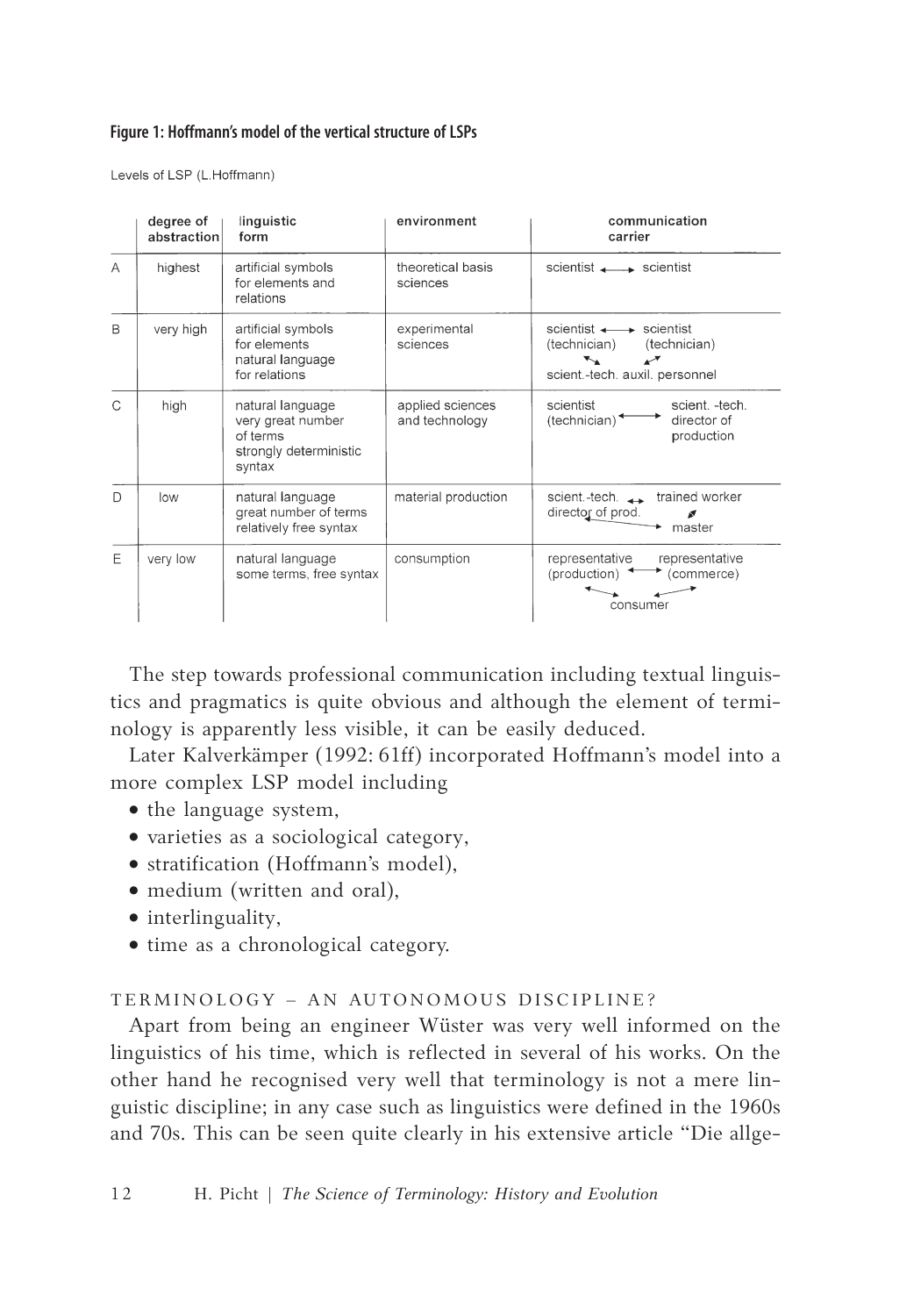## **Figure 1: Hoffmann's model of the vertical structure of LSPs**

Levels of LSP (L.Hoffmann)

|               | degree of<br>abstraction | linguistic<br>form                                                                    | environment                        | communication<br>carrier                                                                                                                  |
|---------------|--------------------------|---------------------------------------------------------------------------------------|------------------------------------|-------------------------------------------------------------------------------------------------------------------------------------------|
| A             | highest                  | artificial symbols<br>for elements and<br>relations                                   | theoretical basis<br>sciences      | scientist scientist                                                                                                                       |
| B             | very high                | artificial symbols<br>for elements<br>natural language<br>for relations               | experimental<br>sciences           | scientist $\longleftrightarrow$ scientist<br>(technician)<br>(technician)<br>$\boldsymbol{\mathcal{F}}$<br>scient.-tech. auxil. personnel |
| $\mathcal{C}$ | high                     | natural language<br>very great number<br>of terms<br>strongly deterministic<br>syntax | applied sciences<br>and technology | scientist<br>scient. - tech.<br>$(technician)$ <sup><math>\triangle</math></sup><br>director of<br>production                             |
| $\Box$        | low                      | natural language<br>great number of terms<br>relatively free syntax                   | material production                | trained worker<br>scient.-tech. $\rightarrow$<br>director of prod.<br>master                                                              |
| E             | very low                 | natural language<br>some terms, free syntax                                           | consumption                        | representative<br>representative<br>(production) $\leftarrow$<br>(commerce)<br>consumer                                                   |

The step towards professional communication including textual linguistics and pragmatics is quite obvious and although the element of terminology is apparently less visible, it can be easily deduced.

Later Kalverkämper (1992: 61ff) incorporated Hoffmann's model into a more complex LSP model including

- the language system,
- varieties as a sociological category,
- stratification (Hoffmann's model),
- medium (written and oral).
- interlinguality,
- time as a chronological category.

# TERMINOLOGY - AN AUTONOMOUS DISCIPLINE?

Apart from being an engineer Wüster was very well informed on the linguistics of his time, which is reflected in several of his works. On the other hand he recognised very well that terminology is not a mere linguistic discipline; in any case such as linguistics were defined in the 1960s and 70s. This can be seen quite clearly in his extensive article "Die allge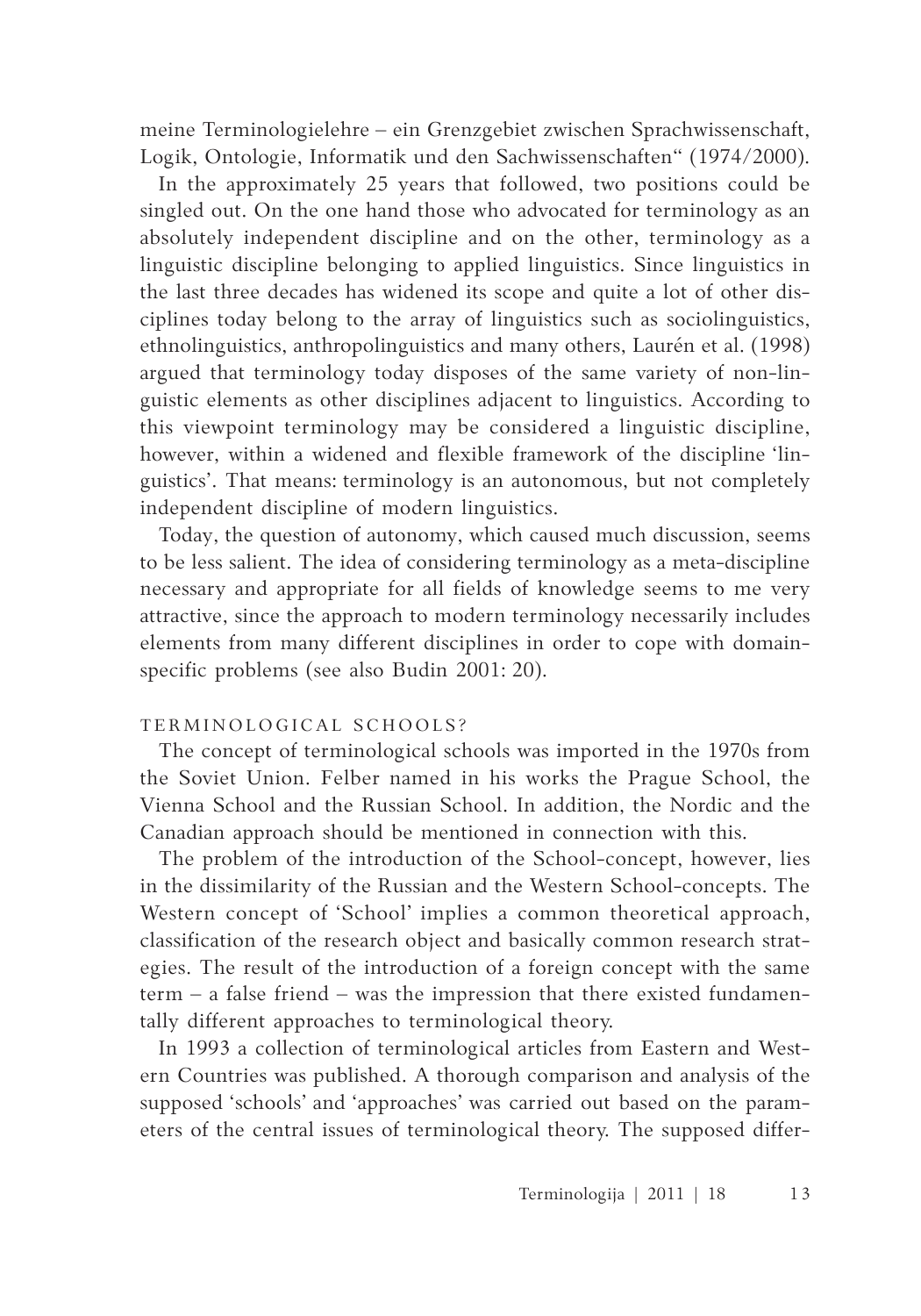meine Terminologielehre – ein Grenzgebiet zwischen Sprachwissenschaft, Logik, Ontologie, Informatik und den Sachwissenschaften" (1974/2000).

In the approximately 25 years that followed, two positions could be singled out. On the one hand those who advocated for terminology as an absolutely independent discipline and on the other, terminology as a linguistic discipline belonging to applied linguistics. Since linguistics in the last three decades has widened its scope and quite a lot of other disciplines today belong to the array of linguistics such as sociolinguistics, ethnolinguistics, anthropolinguistics and many others, Laurén et al. (1998) argued that terminology today disposes of the same variety of non-linguistic elements as other disciplines adjacent to linguistics. According to this viewpoint terminology may be considered a linguistic discipline, however, within a widened and flexible framework of the discipline 'linguistics'. That means: terminology is an autonomous, but not completely independent discipline of modern linguistics.

Today, the question of autonomy, which caused much discussion, seems to be less salient. The idea of considering terminology as a meta-discipline necessary and appropriate for all fields of knowledge seems to me very attractive, since the approach to modern terminology necessarily includes elements from many different disciplines in order to cope with domainspecific problems (see also Budin 2001: 20).

# TERMINOLOGICAL SCHOOLS?

The concept of terminological schools was imported in the 1970s from the Soviet Union. Felber named in his works the Prague School, the Vienna School and the Russian School. In addition, the Nordic and the Canadian approach should be mentioned in connection with this.

The problem of the introduction of the School-concept, however, lies in the dissimilarity of the Russian and the Western School-concepts. The Western concept of 'School' implies a common theoretical approach, classification of the research object and basically common research strategies. The result of the introduction of a foreign concept with the same term – a false friend – was the impression that there existed fundamentally different approaches to terminological theory.

In 1993 a collection of terminological articles from Eastern and Western Countries was published. A thorough comparison and analysis of the supposed 'schools' and 'approaches' was carried out based on the parameters of the central issues of terminological theory. The supposed differ-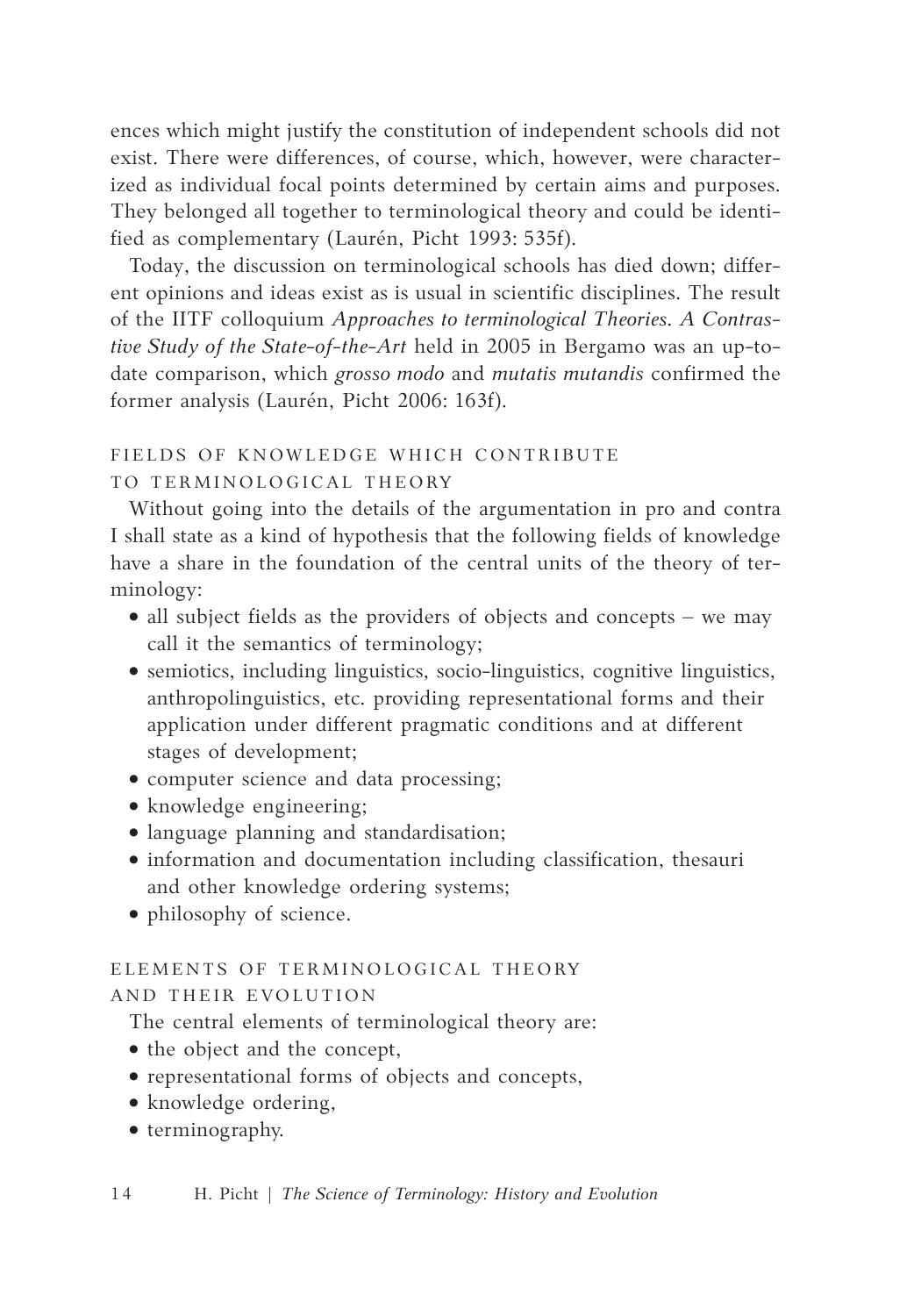ences which might justify the constitution of independent schools did not exist. There were differences, of course, which, however, were characterized as individual focal points determined by certain aims and purposes. They belonged all together to terminological theory and could be identified as complementary (Laurén, Picht 1993: 535f).

Today, the discussion on terminological schools has died down; different opinions and ideas exist as is usual in scientific disciplines. The result of the IITF colloquium *Approaches to terminological Theories. A Contrastive Study of the State-of-the-Art* held in 2005 in Bergamo was an up-todate comparison, which *grosso modo* and *mutatis mutandis* confirmed the former analysis (Laurén, Picht 2006: 163f).

# FIELDS OF KNOWLEDGE WHICH CONTRIBUTE

# TO TERMINOLOGICAL THEORY

Without going into the details of the argumentation in pro and contra I shall state as a kind of hypothesis that the following fields of knowledge have a share in the foundation of the central units of the theory of terminology:

- all subject fields as the providers of objects and concepts we may call it the semantics of terminology;
- semiotics, including linguistics, socio-linguistics, cognitive linguistics, anthropolinguistics, etc. providing representational forms and their application under different pragmatic conditions and at different stages of development;
- computer science and data processing;
- knowledge engineering;
- language planning and standardisation;
- information and documentation including classification, thesauri and other knowledge ordering systems;
- philosophy of science.

# ELEMENTS OF TERMINOLOGICAL THEORY

# AND THEIR EVOLUTION

The central elements of terminological theory are:

- the object and the concept,
- • representational forms of objects and concepts,
- knowledge ordering,
- • terminography.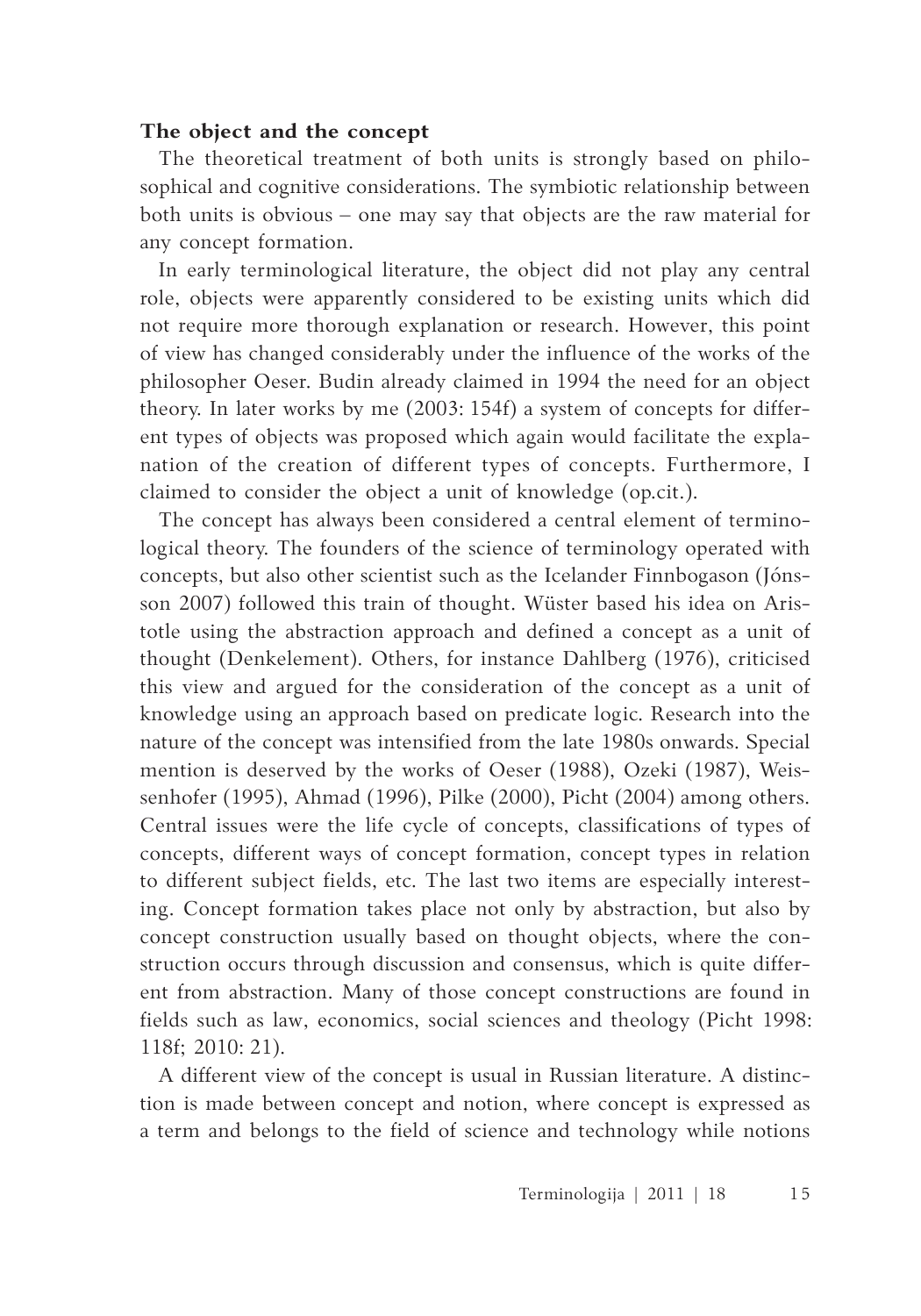# **The object and the concept**

The theoretical treatment of both units is strongly based on philosophical and cognitive considerations. The symbiotic relationship between both units is obvious – one may say that objects are the raw material for any concept formation.

In early terminological literature, the object did not play any central role, objects were apparently considered to be existing units which did not require more thorough explanation or research. However, this point of view has changed considerably under the influence of the works of the philosopher Oeser. Budin already claimed in 1994 the need for an object theory. In later works by me (2003: 154f) a system of concepts for different types of objects was proposed which again would facilitate the explanation of the creation of different types of concepts. Furthermore, I claimed to consider the object a unit of knowledge (op.cit.).

The concept has always been considered a central element of terminological theory. The founders of the science of terminology operated with concepts, but also other scientist such as the Icelander Finnbogason (Jónsson 2007) followed this train of thought. Wüster based his idea on Aristotle using the abstraction approach and defined a concept as a unit of thought (Denkelement). Others, for instance Dahlberg (1976), criticised this view and argued for the consideration of the concept as a unit of knowledge using an approach based on predicate logic. Research into the nature of the concept was intensified from the late 1980s onwards. Special mention is deserved by the works of Oeser (1988), Ozeki (1987), Weissenhofer (1995), Ahmad (1996), Pilke (2000), Picht (2004) among others. Central issues were the life cycle of concepts, classifications of types of concepts, different ways of concept formation, concept types in relation to different subject fields, etc. The last two items are especially interesting. Concept formation takes place not only by abstraction, but also by concept construction usually based on thought objects, where the construction occurs through discussion and consensus, which is quite different from abstraction. Many of those concept constructions are found in fields such as law, economics, social sciences and theology (Picht 1998: 118f; 2010: 21).

A different view of the concept is usual in Russian literature. A distinction is made between concept and notion, where concept is expressed as a term and belongs to the field of science and technology while notions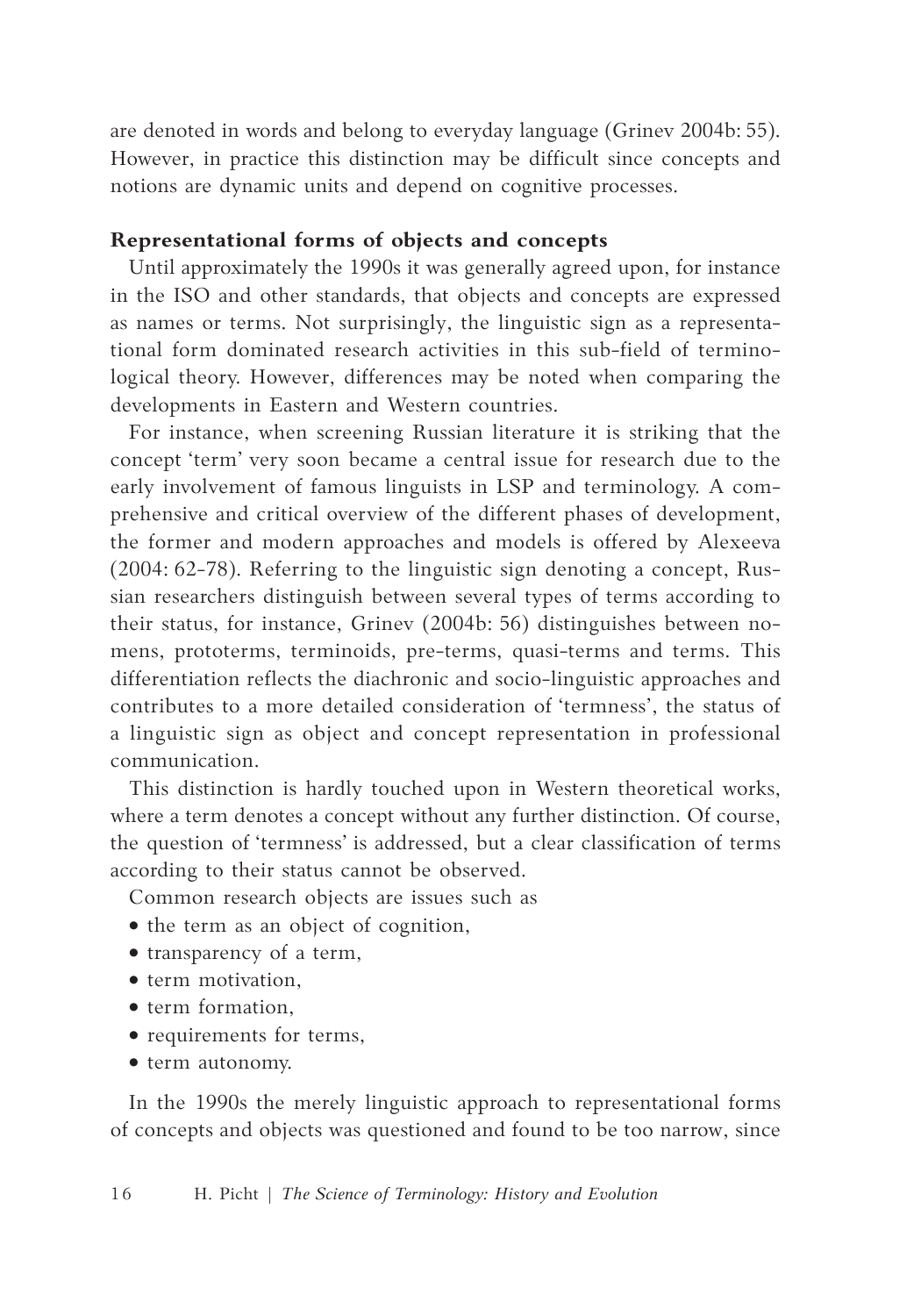are denoted in words and belong to everyday language (Grinev 2004b: 55). However, in practice this distinction may be difficult since concepts and notions are dynamic units and depend on cognitive processes.

### **Representational forms of objects and concepts**

Until approximately the 1990s it was generally agreed upon, for instance in the ISO and other standards, that objects and concepts are expressed as names or terms. Not surprisingly, the linguistic sign as a representational form dominated research activities in this sub-field of terminological theory. However, differences may be noted when comparing the developments in Eastern and Western countries.

For instance, when screening Russian literature it is striking that the concept 'term' very soon became a central issue for research due to the early involvement of famous linguists in LSP and terminology. A comprehensive and critical overview of the different phases of development, the former and modern approaches and models is offered by Alexeeva (2004: 62-78). Referring to the linguistic sign denoting a concept, Russian researchers distinguish between several types of terms according to their status, for instance, Grinev (2004b: 56) distinguishes between nomens, prototerms, terminoids, pre-terms, quasi-terms and terms. This differentiation reflects the diachronic and socio-linguistic approaches and contributes to a more detailed consideration of 'termness', the status of a linguistic sign as object and concept representation in professional communication.

This distinction is hardly touched upon in Western theoretical works, where a term denotes a concept without any further distinction. Of course, the question of 'termness' is addressed, but a clear classification of terms according to their status cannot be observed.

Common research objects are issues such as

- the term as an object of cognition,
- • transparency of a term,
- term motivation.
- • term formation,
- requirements for terms,
- $\bullet$  term autonomy.

In the 1990s the merely linguistic approach to representational forms of concepts and objects was questioned and found to be too narrow, since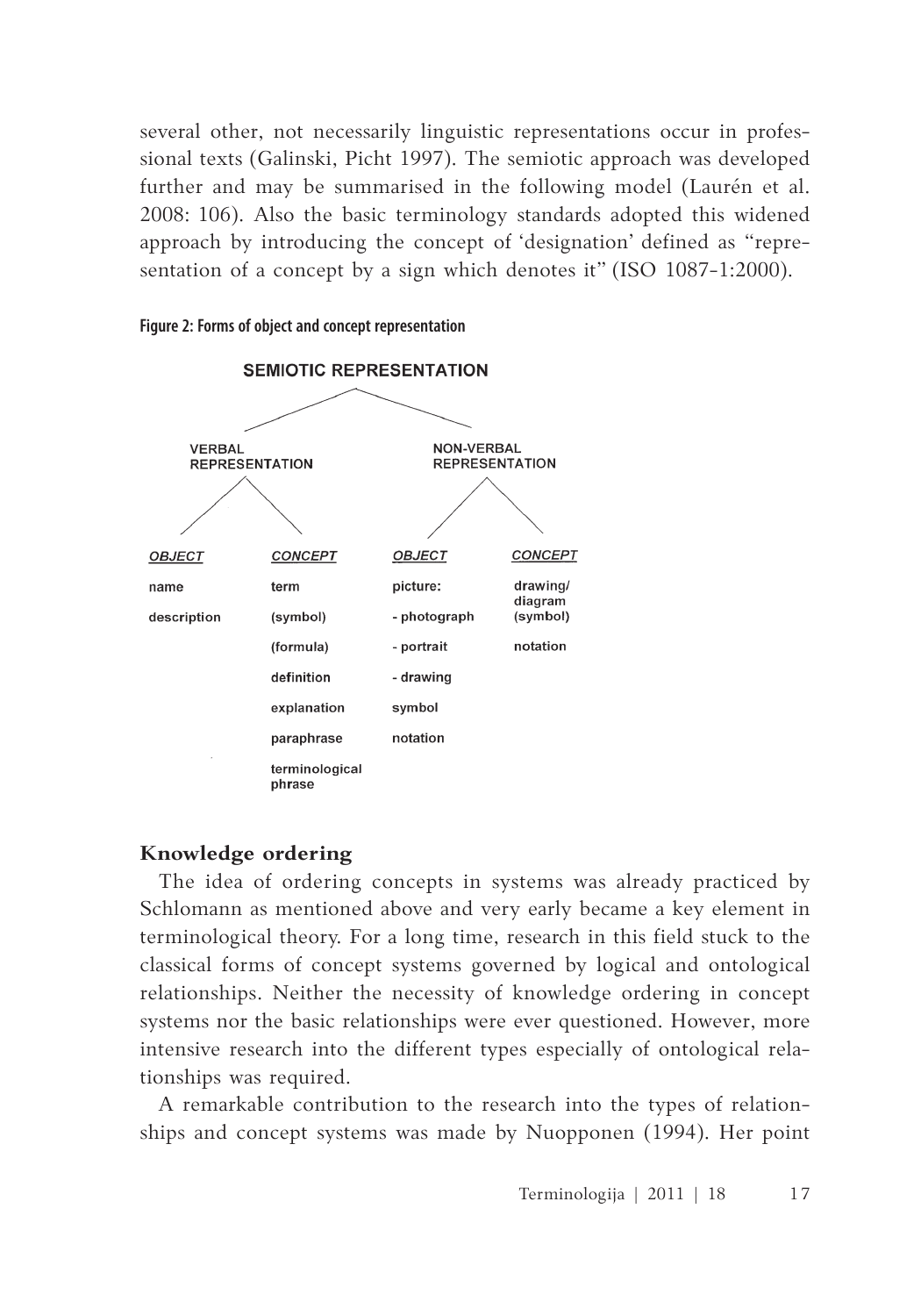several other, not necessarily linguistic representations occur in professional texts (Galinski, Picht 1997). The semiotic approach was developed further and may be summarised in the following model (Laurén et al. 2008: 106). Also the basic terminology standards adopted this widened approach by introducing the concept of 'designation' defined as "representation of a concept by a sign which denotes it" (ISO 1087-1:2000).



**Figure 2: Forms of object and concept representation**

# **Knowledge ordering**

The idea of ordering concepts in systems was already practiced by Schlomann as mentioned above and very early became a key element in terminological theory. For a long time, research in this field stuck to the classical forms of concept systems governed by logical and ontological relationships. Neither the necessity of knowledge ordering in concept systems nor the basic relationships were ever questioned. However, more intensive research into the different types especially of ontological relationships was required.

A remarkable contribution to the research into the types of relationships and concept systems was made by Nuopponen (1994). Her point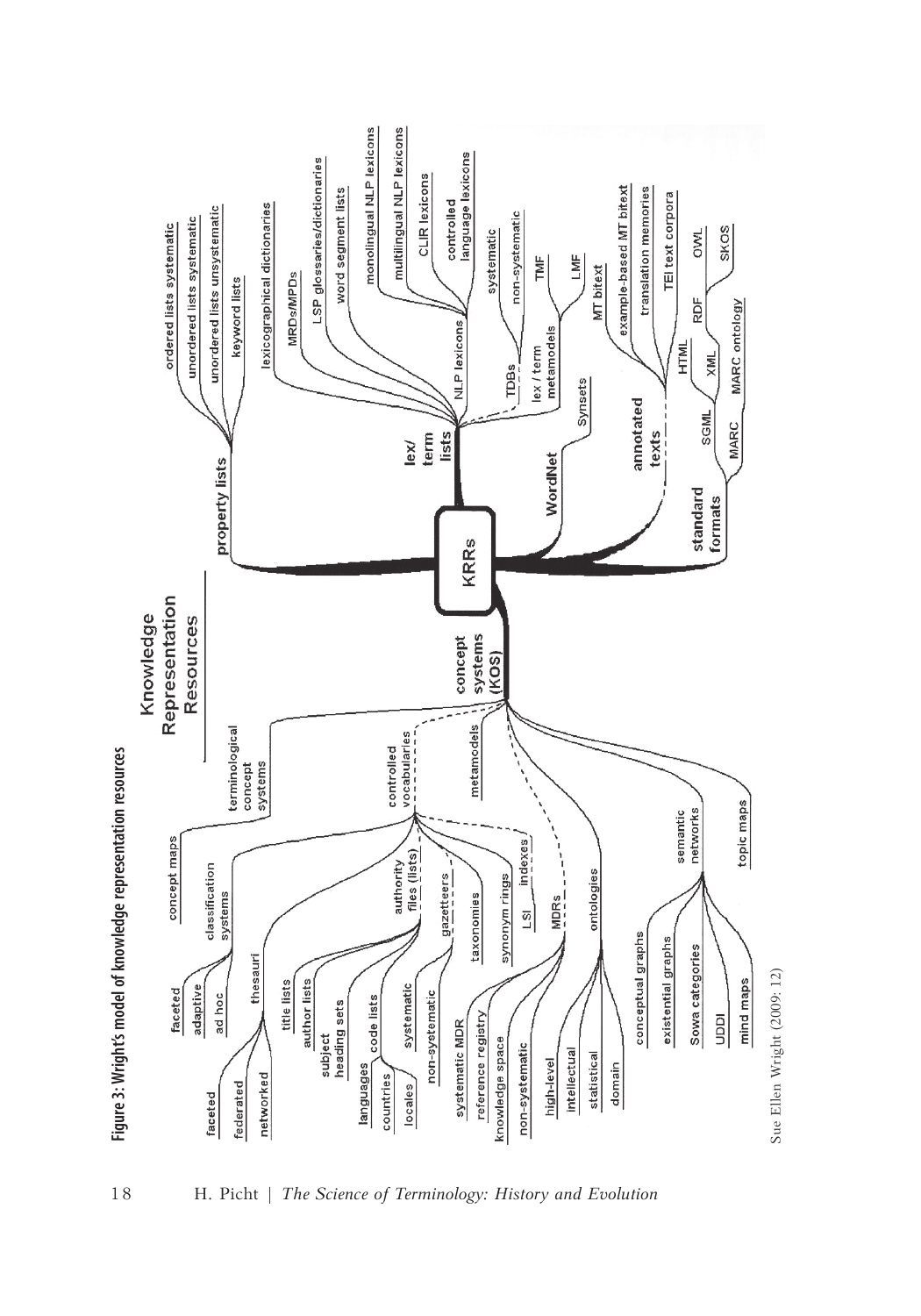



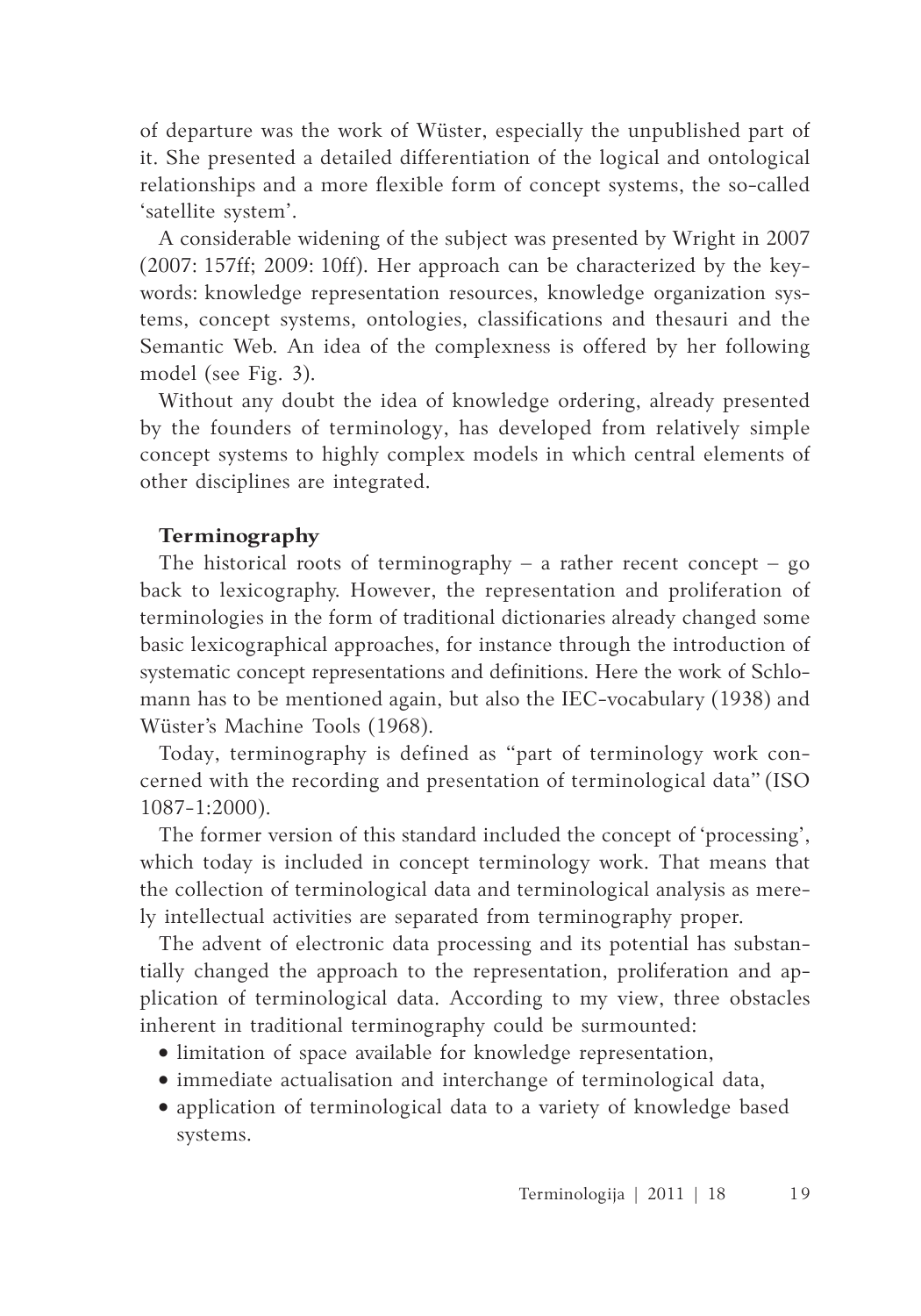of departure was the work of Wüster, especially the unpublished part of it. She presented a detailed differentiation of the logical and ontological relationships and a more flexible form of concept systems, the so-called 'satellite system'.

A considerable widening of the subject was presented by Wright in 2007 (2007: 157ff; 2009: 10ff). Her approach can be characterized by the keywords: knowledge representation resources, knowledge organization systems, concept systems, ontologies, classifications and thesauri and the Semantic Web. An idea of the complexness is offered by her following model (see Fig. 3).

Without any doubt the idea of knowledge ordering, already presented by the founders of terminology, has developed from relatively simple concept systems to highly complex models in which central elements of other disciplines are integrated.

# **Terminography**

The historical roots of terminography – a rather recent concept –  $go$ back to lexicography. However, the representation and proliferation of terminologies in the form of traditional dictionaries already changed some basic lexicographical approaches, for instance through the introduction of systematic concept representations and definitions. Here the work of Schlomann has to be mentioned again, but also the IEC-vocabulary (1938) and Wüster's Machine Tools (1968).

Today, terminography is defined as "part of terminology work concerned with the recording and presentation of terminological data" (ISO 1087-1:2000).

The former version of this standard included the concept of 'processing', which today is included in concept terminology work. That means that the collection of terminological data and terminological analysis as merely intellectual activities are separated from terminography proper.

The advent of electronic data processing and its potential has substantially changed the approach to the representation, proliferation and application of terminological data. According to my view, three obstacles inherent in traditional terminography could be surmounted:

- limitation of space available for knowledge representation,
- immediate actualisation and interchange of terminological data,
- application of terminological data to a variety of knowledge based systems.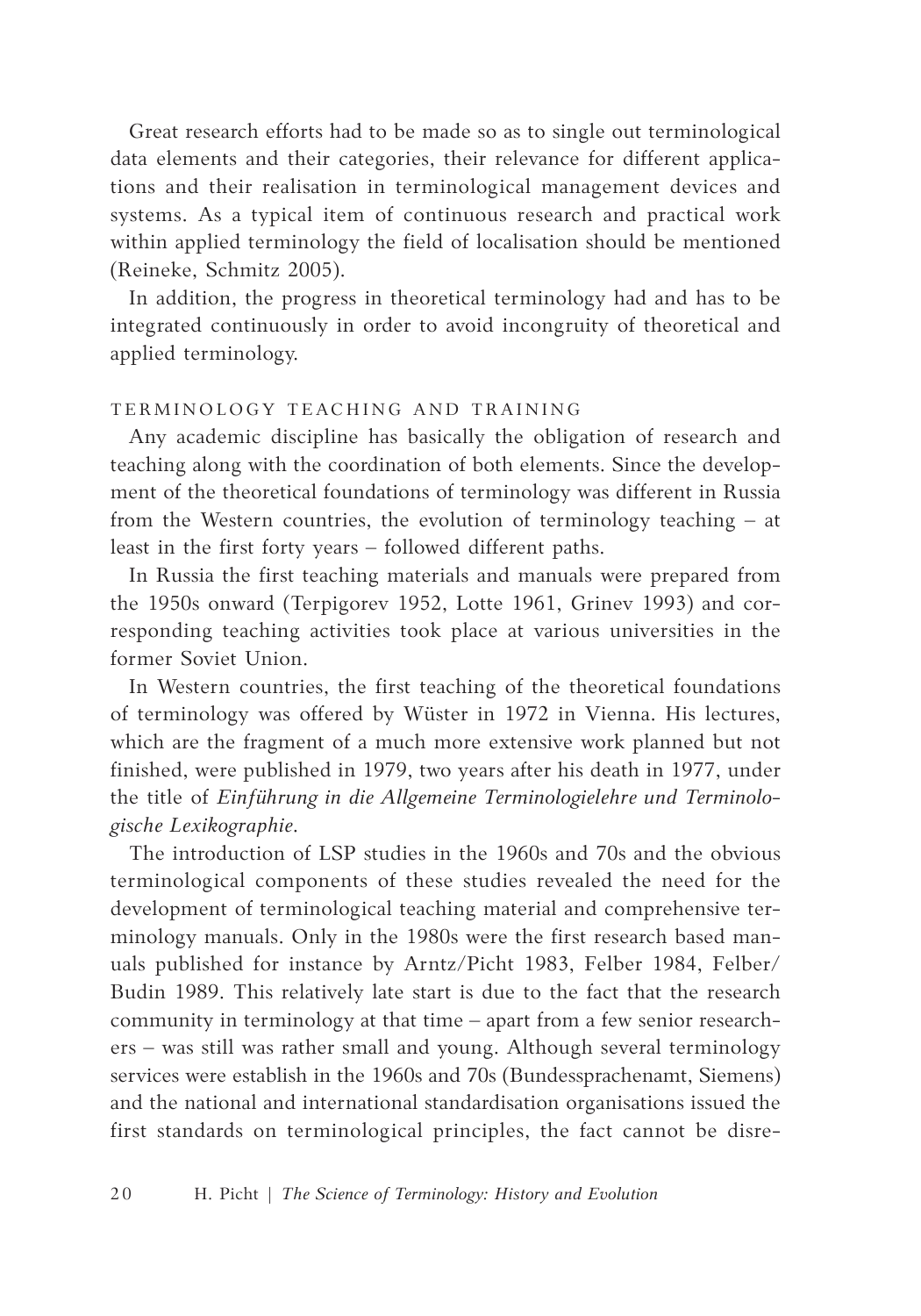Great research efforts had to be made so as to single out terminological data elements and their categories, their relevance for different applications and their realisation in terminological management devices and systems. As a typical item of continuous research and practical work within applied terminology the field of localisation should be mentioned (Reineke, Schmitz 2005).

In addition, the progress in theoretical terminology had and has to be integrated continuously in order to avoid incongruity of theoretical and applied terminology.

# TERMINOLOGY TEACHING AND TRAINING

Any academic discipline has basically the obligation of research and teaching along with the coordination of both elements. Since the development of the theoretical foundations of terminology was different in Russia from the Western countries, the evolution of terminology teaching – at least in the first forty years – followed different paths.

In Russia the first teaching materials and manuals were prepared from the 1950s onward (Terpigorev 1952, Lotte 1961, Grinev 1993) and corresponding teaching activities took place at various universities in the former Soviet Union.

In Western countries, the first teaching of the theoretical foundations of terminology was offered by Wüster in 1972 in Vienna. His lectures, which are the fragment of a much more extensive work planned but not finished, were published in 1979, two years after his death in 1977, under the title of *Einführung in die Allgemeine Terminologielehre und Terminologische Lexikographie*.

The introduction of LSP studies in the 1960s and 70s and the obvious terminological components of these studies revealed the need for the development of terminological teaching material and comprehensive terminology manuals. Only in the 1980s were the first research based manuals published for instance by Arntz/Picht 1983, Felber 1984, Felber/ Budin 1989. This relatively late start is due to the fact that the research community in terminology at that time – apart from a few senior researchers – was still was rather small and young. Although several terminology services were establish in the 1960s and 70s (Bundessprachenamt, Siemens) and the national and international standardisation organisations issued the first standards on terminological principles, the fact cannot be disre-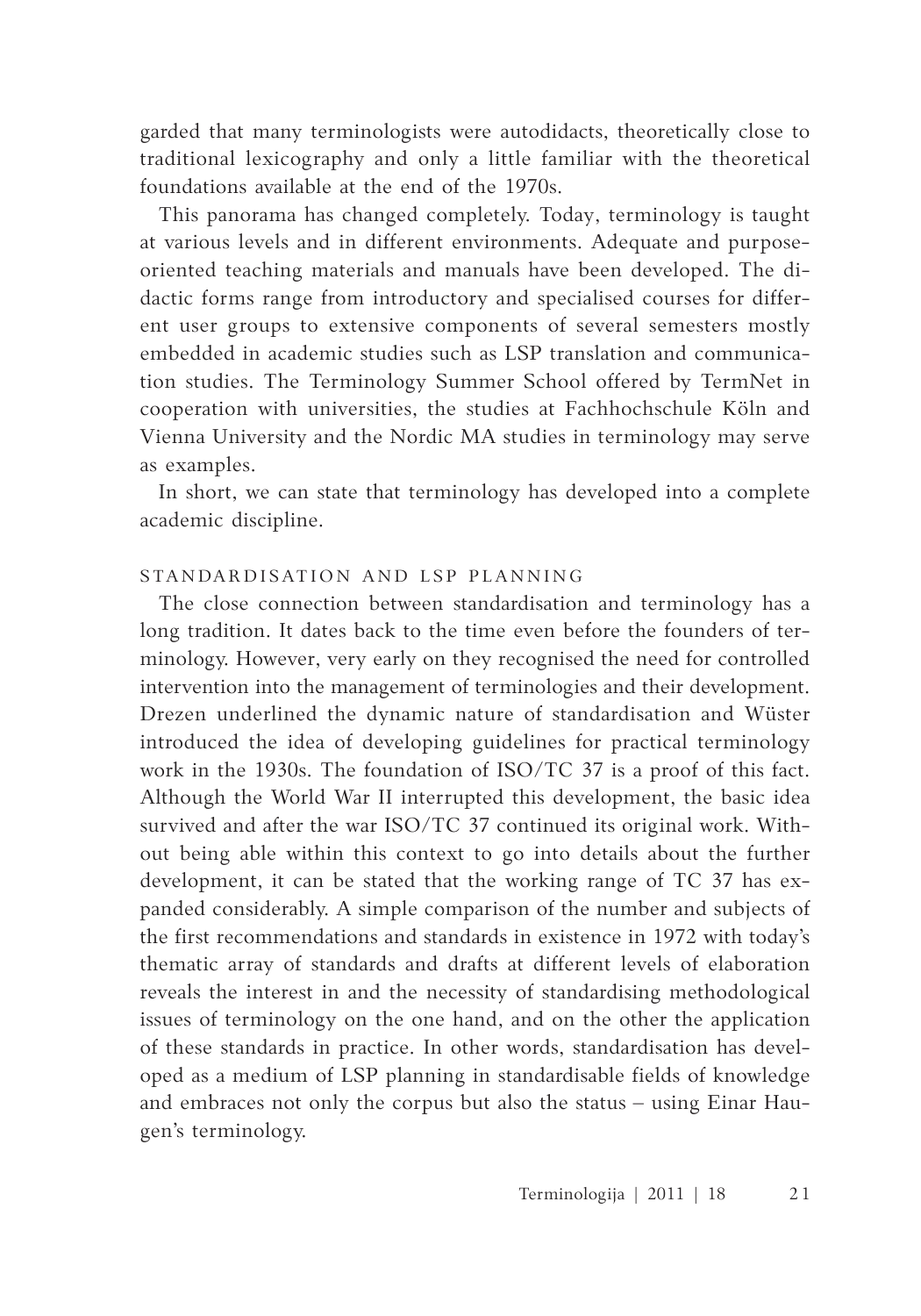garded that many terminologists were autodidacts, theoretically close to traditional lexicography and only a little familiar with the theoretical foundations available at the end of the 1970s.

This panorama has changed completely. Today, terminology is taught at various levels and in different environments. Adequate and purposeoriented teaching materials and manuals have been developed. The didactic forms range from introductory and specialised courses for different user groups to extensive components of several semesters mostly embedded in academic studies such as LSP translation and communication studies. The Terminology Summer School offered by TermNet in cooperation with universities, the studies at Fachhochschule Köln and Vienna University and the Nordic MA studies in terminology may serve as examples.

In short, we can state that terminology has developed into a complete academic discipline.

# STANDARDISATION AND LSP PLANNING

The close connection between standardisation and terminology has a long tradition. It dates back to the time even before the founders of terminology. However, very early on they recognised the need for controlled intervention into the management of terminologies and their development. Drezen underlined the dynamic nature of standardisation and Wüster introduced the idea of developing guidelines for practical terminology work in the 1930s. The foundation of ISO/TC 37 is a proof of this fact. Although the World War II interrupted this development, the basic idea survived and after the war ISO/TC 37 continued its original work. Without being able within this context to go into details about the further development, it can be stated that the working range of TC 37 has expanded considerably. A simple comparison of the number and subjects of the first recommendations and standards in existence in 1972 with today's thematic array of standards and drafts at different levels of elaboration reveals the interest in and the necessity of standardising methodological issues of terminology on the one hand, and on the other the application of these standards in practice. In other words, standardisation has developed as a medium of LSP planning in standardisable fields of knowledge and embraces not only the corpus but also the status – using Einar Haugen's terminology.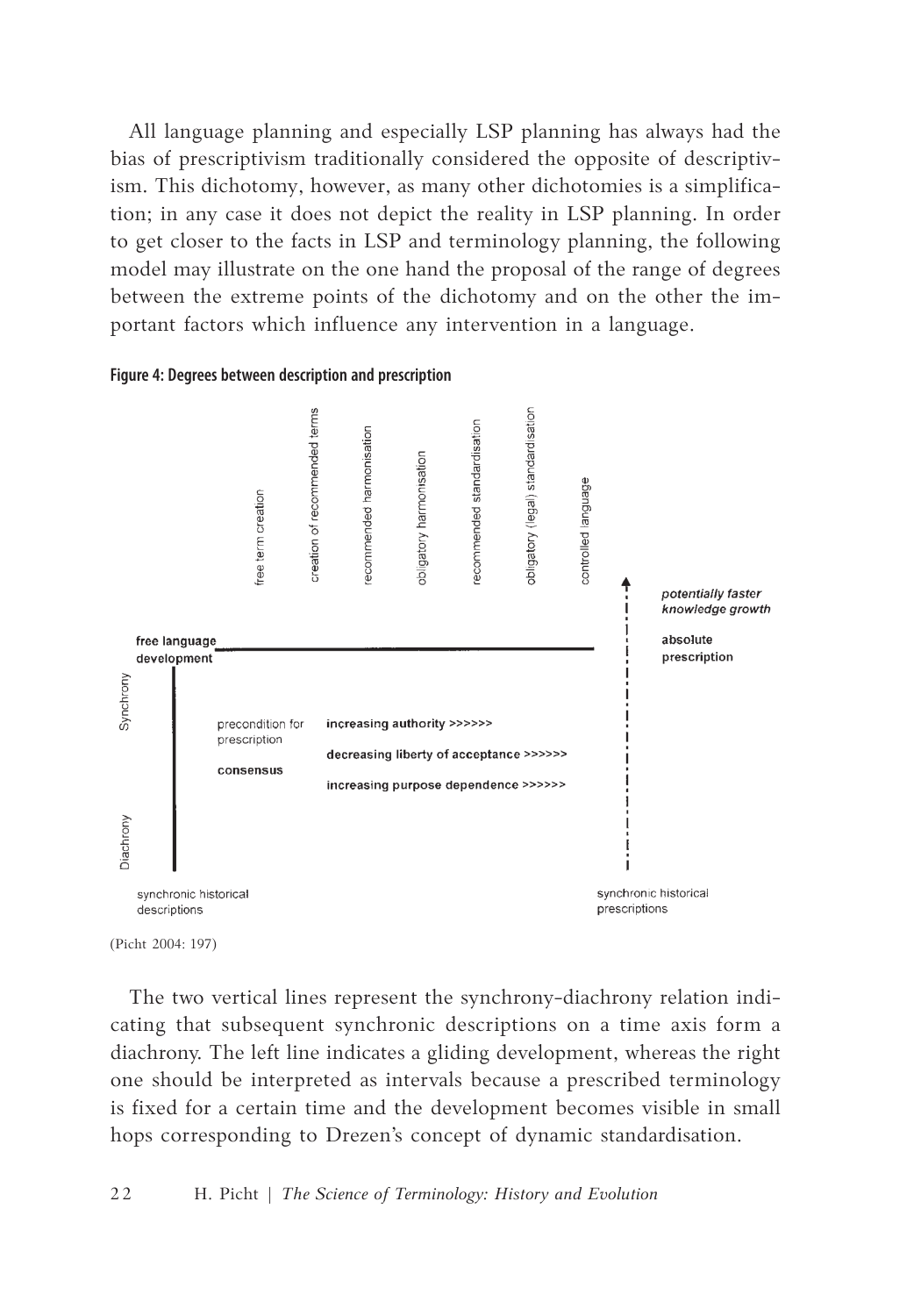All language planning and especially LSP planning has always had the bias of prescriptivism traditionally considered the opposite of descriptivism. This dichotomy, however, as many other dichotomies is a simplification; in any case it does not depict the reality in LSP planning. In order to get closer to the facts in LSP and terminology planning, the following model may illustrate on the one hand the proposal of the range of degrees between the extreme points of the dichotomy and on the other the important factors which influence any intervention in a language.

### **Figure 4: Degrees between description and prescription**



<sup>(</sup>Picht 2004: 197)

The two vertical lines represent the synchrony-diachrony relation indicating that subsequent synchronic descriptions on a time axis form a diachrony. The left line indicates a gliding development, whereas the right one should be interpreted as intervals because a prescribed terminology is fixed for a certain time and the development becomes visible in small hops corresponding to Drezen's concept of dynamic standardisation.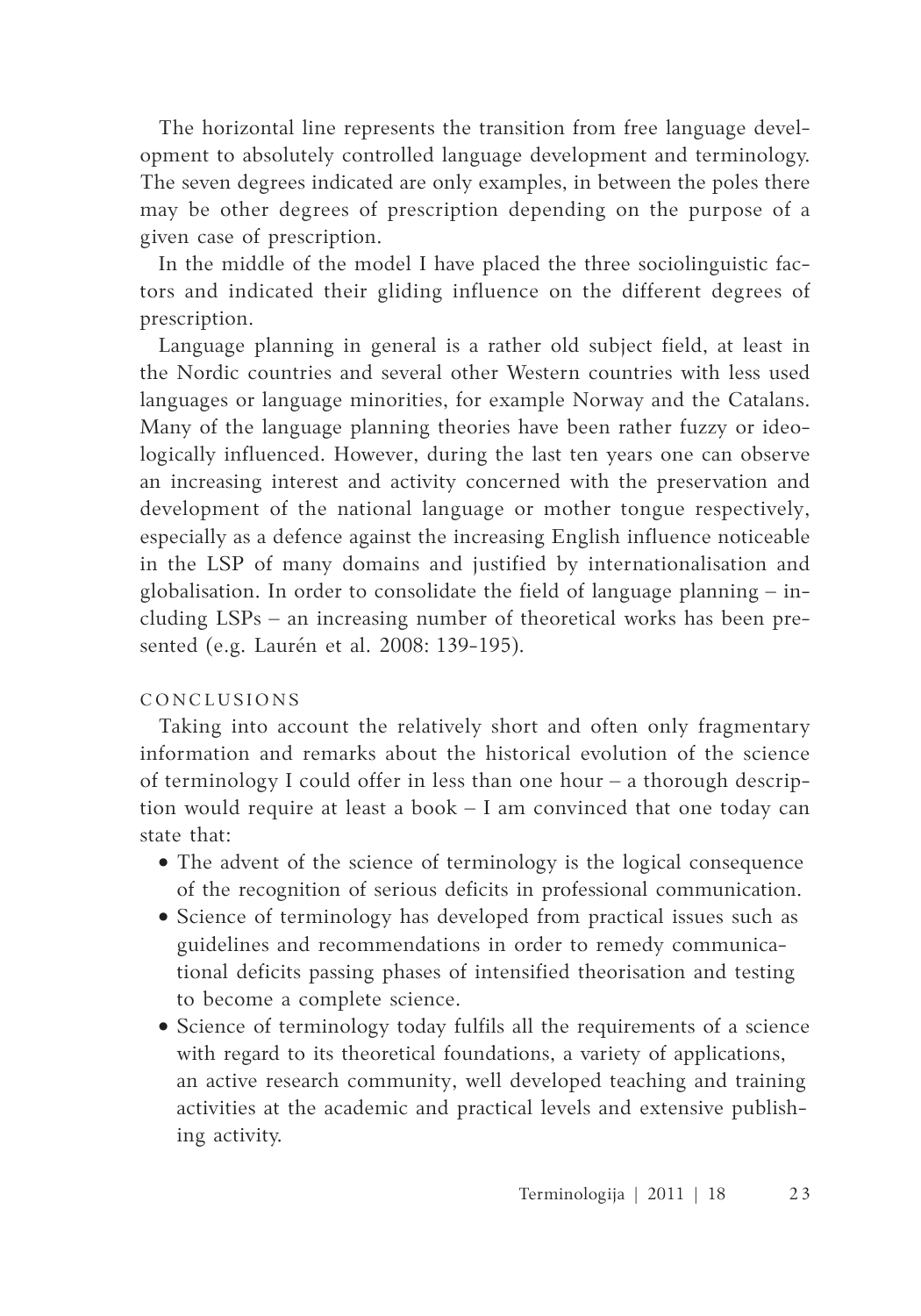The horizontal line represents the transition from free language development to absolutely controlled language development and terminology. The seven degrees indicated are only examples, in between the poles there may be other degrees of prescription depending on the purpose of a given case of prescription.

In the middle of the model I have placed the three sociolinguistic factors and indicated their gliding influence on the different degrees of prescription.

Language planning in general is a rather old subject field, at least in the Nordic countries and several other Western countries with less used languages or language minorities, for example Norway and the Catalans. Many of the language planning theories have been rather fuzzy or ideologically influenced. However, during the last ten years one can observe an increasing interest and activity concerned with the preservation and development of the national language or mother tongue respectively, especially as a defence against the increasing English influence noticeable in the LSP of many domains and justified by internationalisation and globalisation. In order to consolidate the field of language planning – including LSPs – an increasing number of theoretical works has been presented (e.g. Laurén et al. 2008: 139-195).

# CO NCLU SI O N S

Taking into account the relatively short and often only fragmentary information and remarks about the historical evolution of the science of terminology I could offer in less than one hour – a thorough description would require at least a book – I am convinced that one today can state that:

- The advent of the science of terminology is the logical consequence of the recognition of serious deficits in professional communication.
- • Science of terminology has developed from practical issues such as guidelines and recommendations in order to remedy communicational deficits passing phases of intensified theorisation and testing to become a complete science.
- Science of terminology today fulfils all the requirements of a science with regard to its theoretical foundations, a variety of applications, an active research community, well developed teaching and training activities at the academic and practical levels and extensive publishing activity.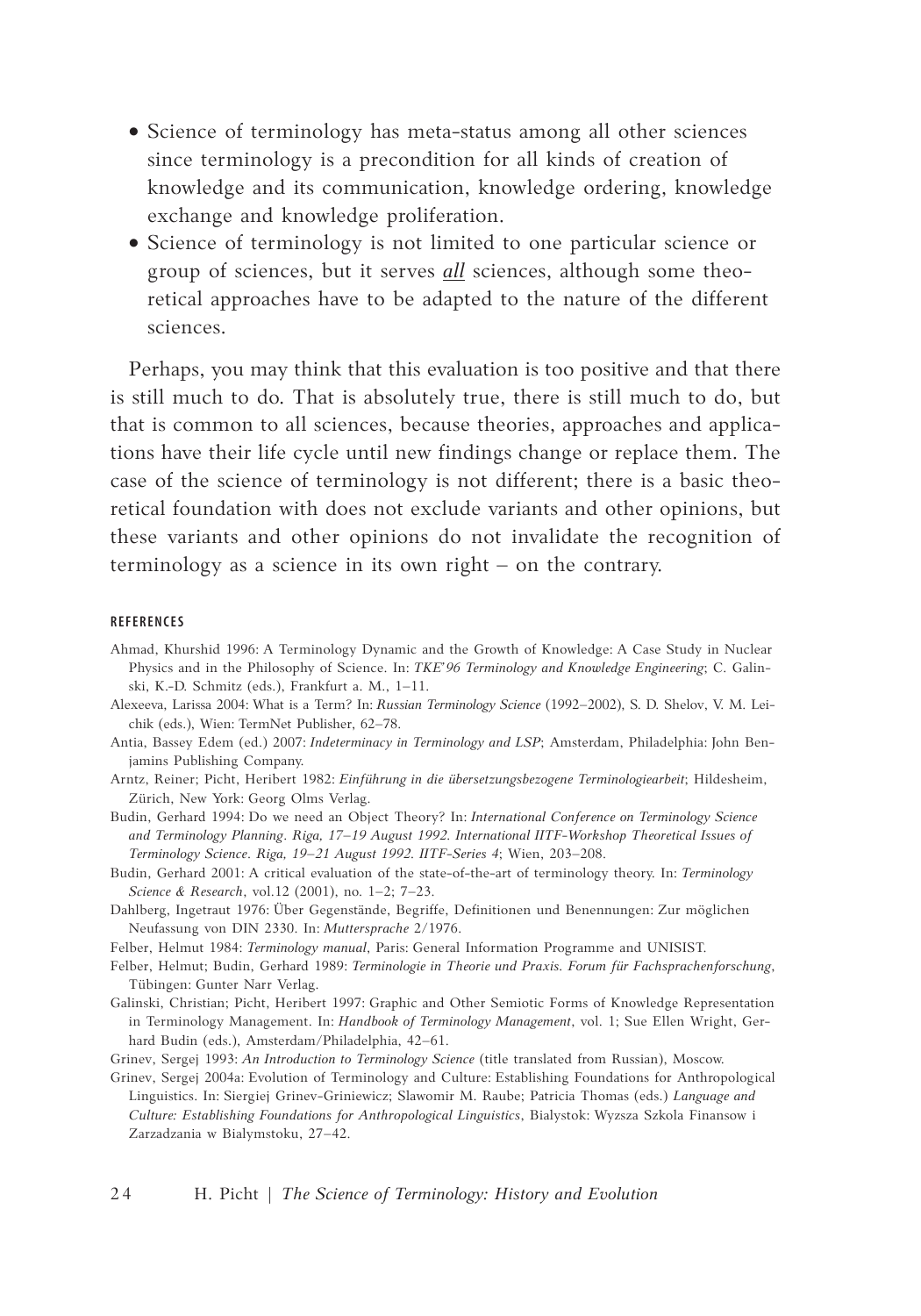- Science of terminology has meta-status among all other sciences since terminology is a precondition for all kinds of creation of knowledge and its communication, knowledge ordering, knowledge exchange and knowledge proliferation.
- Science of terminology is not limited to one particular science or group of sciences, but it serves *all* sciences, although some theoretical approaches have to be adapted to the nature of the different sciences.

Perhaps, you may think that this evaluation is too positive and that there is still much to do. That is absolutely true, there is still much to do, but that is common to all sciences, because theories, approaches and applications have their life cycle until new findings change or replace them. The case of the science of terminology is not different; there is a basic theoretical foundation with does not exclude variants and other opinions, but these variants and other opinions do not invalidate the recognition of terminology as a science in its own right – on the contrary.

#### **Refe r e n c e s**

- Ahmad, Khurshid 1996: A Terminology Dynamic and the Growth of Knowledge: A Case Study in Nuclear Physics and in the Philosophy of Science. In: *TKE'96 Terminology and Knowledge Engineering*; C. Galinski, K.-D. Schmitz (eds.), Frankfurt a. M., 1–11.
- Alexeeva, Larissa 2004: What is a Term? In: *Russian Terminology Science* (1992–2002), S. D. Shelov, V. M. Leichik (eds.), Wien: TermNet Publisher, 62–78.
- Antia, Bassey Edem (ed.) 2007: *Indeterminacy in Terminology and LSP*; Amsterdam, Philadelphia: John Benjamins Publishing Company.
- Arntz, Reiner; Picht, Heribert 1982: *Einführung in die übersetzungsbezogene Terminologiearbeit*; Hildesheim, Zürich, New York: Georg Olms Verlag.
- Budin, Gerhard 1994: Do we need an Object Theory? In: *International Conference on Terminology Science and Terminology Planning*. *Riga, 17–19 August 1992. International IITF-Workshop Theoretical Issues of Terminology Science*. *Riga, 19–21 August 1992. IITF-Series 4*; Wien, 203–208.
- Budin, Gerhard 2001: A critical evaluation of the state-of-the-art of terminology theory. In: *Terminology Science & Research*, vol.12 (2001), no. 1–2; 7–23.
- Dahlberg, Ingetraut 1976: Über Gegenstände, Begriffe, Definitionen und Benennungen: Zur möglichen Neufassung von DIN 2330. In: *Muttersprache* 2/1976.
- Felber, Helmut 1984: *Terminology manual*, Paris: General Information Programme and UNISIST.
- Felber, Helmut; Budin, Gerhard 1989: *Terminologie in Theorie und Praxis. Forum für Fachsprachenforschung*, Tübingen: Gunter Narr Verlag.
- Galinski, Christian; Picht, Heribert 1997: Graphic and Other Semiotic Forms of Knowledge Representation in Terminology Management. In: *Handbook of Terminology Management*, vol. 1; Sue Ellen Wright, Gerhard Budin (eds.), Amsterdam/Philadelphia, 42–61.
- Grinev, Sergej 1993: *An Introduction to Terminology Science* (title translated from Russian), Moscow.
- Grinev, Sergej 2004a: Evolution of Terminology and Culture: Establishing Foundations for Anthropological Linguistics. In: Siergiej Grinev-Griniewicz; Slawomir M. Raube; Patricia Thomas (eds.) *Language and Culture: Establishing Foundations for Anthropological Linguistics*, Bialystok: Wyzsza Szkola Finansow i Zarzadzania w Bialymstoku, 27–42.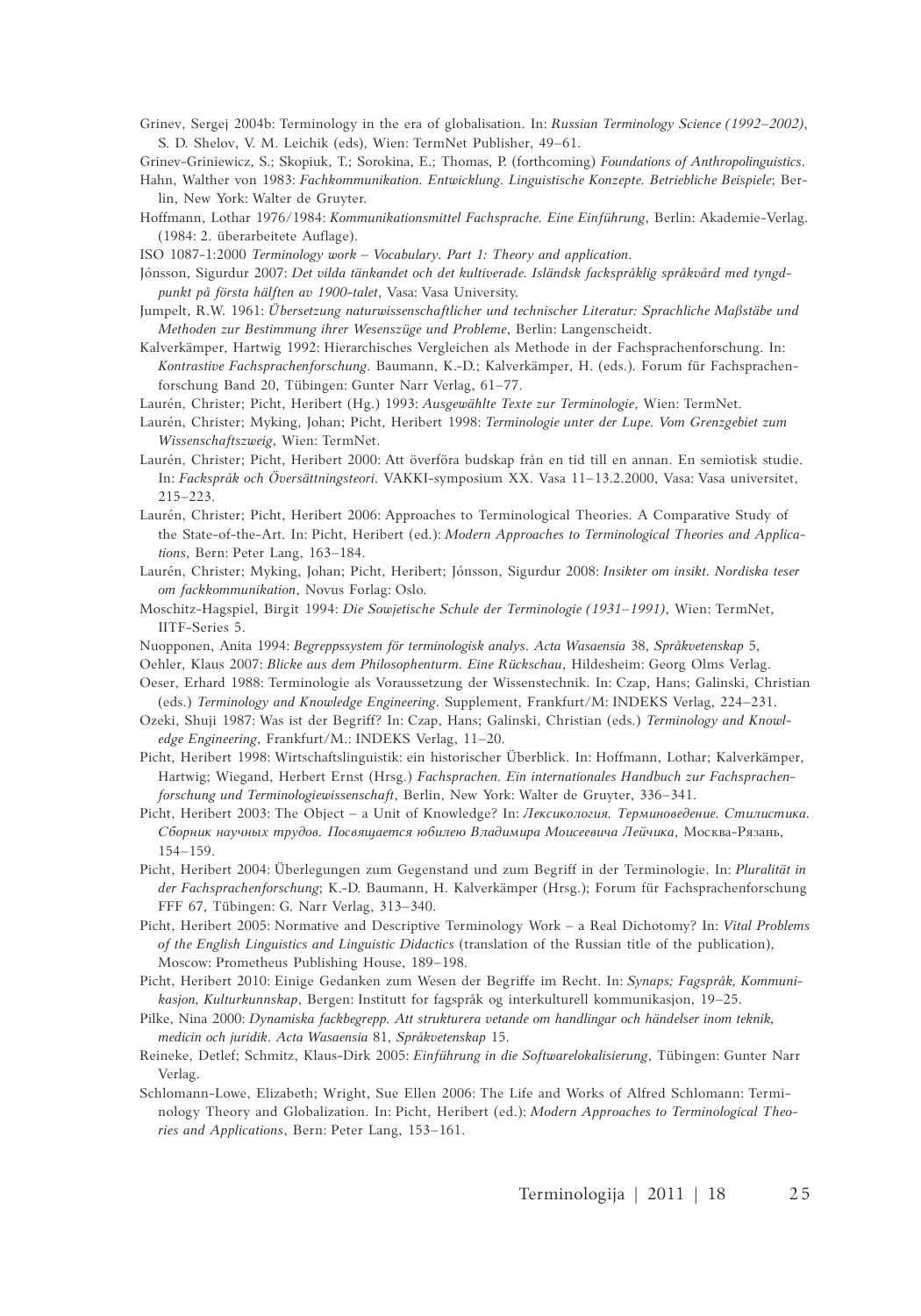Grinev, Sergej 2004b: Terminology in the era of globalisation. In: *Russian Terminology Science (1992–2002)*, S. D. Shelov, V. M. Leichik (eds), Wien: TermNet Publisher, 49–61.

Grinev-Griniewicz, S.; Skopiuk, T.; Sorokina, E.; Thomas, P. (forthcoming) *Foundations of Anthropolinguistics*.

- Hahn, Walther von 1983: *Fachkommunikation. Entwicklung. Linguistische Konzepte. Betriebliche Beispiele*; Berlin, New York: Walter de Gruyter.
- Hoffmann, Lothar 1976/1984: *Kommunikationsmittel Fachsprache. Eine Einführung*, Berlin: Akademie-Verlag. (1984: 2. überarbeitete Auflage).
- ISO 1087-1:2000 *Terminology work – Vocabulary. Part 1: Theory and application*.
- Jónsson, Sigurdur 2007: *Det vilda tänkandet och det kultiverade. Isländsk fackspråklig språkvård med tyngdpunkt på första hälften av 1900-talet*, Vasa: Vasa University.
- Jumpelt, R.W. 1961: *Übersetzung naturwissenschaftlicher und technischer Literatur: Sprachliche Maßstäbe und Methoden zur Bestimmung ihrer Wesenszüge und Probleme*, Berlin: Langenscheidt.
- Kalverkämper, Hartwig 1992: Hierarchisches Vergleichen als Methode in der Fachsprachenforschung. In: *Kontrastive Fachsprachenforschung*. Baumann, K.-D.; Kalverkämper, H. (eds.). Forum für Fachsprachenforschung Band 20, Tübingen: Gunter Narr Verlag, 61–77.
- Laurén, Christer; Picht, Heribert (Hg.) 1993: *Ausgewählte Texte zur Terminologie*, Wien: TermNet.
- Laurén, Christer; Myking, Johan; Picht, Heribert 1998: *Terminologie unter der Lupe. Vom Grenzgebiet zum Wissenschaftszweig*, Wien: TermNet.
- Laurén, Christer; Picht, Heribert 2000: Att överföra budskap från en tid till en annan. En semiotisk studie. In: *Fackspråk och Översättningsteori*. VAKKI-symposium XX. Vasa 11–13.2.2000, Vasa: Vasa universitet, 215–223.
- Laurén, Christer; Picht, Heribert 2006: Approaches to Terminological Theories. A Comparative Study of the State-of-the-Art. In: Picht, Heribert (ed.): *Modern Approaches to Terminological Theories and Applications*, Bern: Peter Lang, 163–184.
- Laurén, Christer; Myking, Johan; Picht, Heribert; Jónsson, Sigurdur 2008: *Insikter om insikt. Nordiska teser om fackkommunikation*, Novus Forlag: Oslo.
- Moschitz-Hagspiel, Birgit 1994: *Die Sowjetische Schule der Terminologie (1931–1991)*, Wien: TermNet, IITF-Series 5.
- Nuopponen, Anita 1994: *Begreppssystem för terminologisk analys*. *Acta Wasaensia* 38, *Språkvetenskap* 5,
- Oehler, Klaus 2007: *Blicke aus dem Philosophenturm. Eine Rückschau*, Hildesheim: Georg Olms Verlag.
- Oeser, Erhard 1988: Terminologie als Voraussetzung der Wissenstechnik. In: Czap, Hans; Galinski, Christian (eds.) *Terminology and Knowledge Engineering*. Supplement, Frankfurt/M: INDEKS Verlag, 224–231.
- Ozeki, Shuji 1987: Was ist der Begriff? In: Czap, Hans; Galinski, Christian (eds.) *Terminology and Knowledge Engineering*, Frankfurt/M.: INDEKS Verlag, 11–20.
- Picht, Heribert 1998: Wirtschaftslinguistik: ein historischer Überblick. In: Hoffmann, Lothar; Kalverkämper, Hartwig; Wiegand, Herbert Ernst (Hrsg.) *Fachsprachen. Ein internationales Handbuch zur Fachsprachenforschung und Terminologiewissenschaft*, Berlin, New York: Walter de Gruyter, 336–341.
- Picht, Heribert 2003: The Object a Unit of Knowledge? In: *Лексикология. Терминоведение. Стилистика. Сборник научных трудов. Посвящается юбилею Владимира Моисеевича Лейчика*, Москва-Рязань, 154–159.
- Picht, Heribert 2004: Überlegungen zum Gegenstand und zum Begriff in der Terminologie. In: *Pluralität in der Fachsprachenforschung*; K.-D. Baumann, H. Kalverkämper (Hrsg.); Forum für Fachsprachenforschung FFF 67, Tübingen: G. Narr Verlag, 313–340.
- Picht, Heribert 2005: Normative and Descriptive Terminology Work a Real Dichotomy? In: *Vital Problems of the English Linguistics and Linguistic Didactics* (translation of the Russian title of the publication), Moscow: Prometheus Publishing House, 189–198.
- Picht, Heribert 2010: Einige Gedanken zum Wesen der Begriffe im Recht. In: *Synaps; Fagspråk, Kommunikasjon, Kulturkunnskap*, Bergen: Institutt for fagspråk og interkulturell kommunikasjon, 19–25.
- Pilke, Nina 2000: *Dynamiska fackbegrepp. Att strukturera vetande om handlingar och händelser inom teknik, medicin och juridik*. *Acta Wasaensia* 81, *Språkvetenskap* 15.
- Reineke, Detlef; Schmitz, Klaus-Dirk 2005: *Einführung in die Softwarelokalisierung*, Tübingen: Gunter Narr Verlag.
- Schlomann-Lowe, Elizabeth; Wright, Sue Ellen 2006: The Life and Works of Alfred Schlomann: Terminology Theory and Globalization. In: Picht, Heribert (ed.): *Modern Approaches to Terminological Theories and Applications*, Bern: Peter Lang, 153–161.